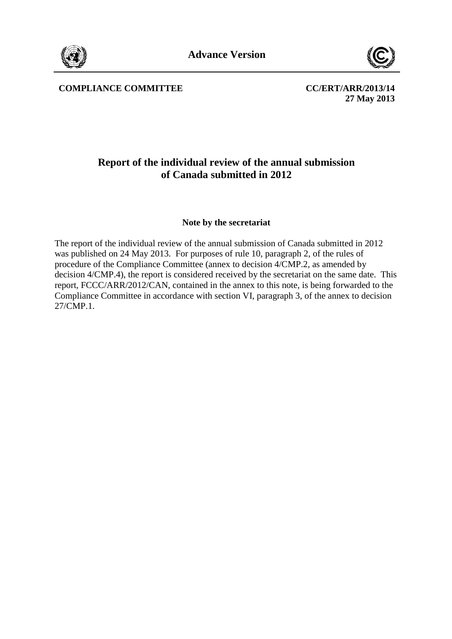



COMPLIANCE COMMITTEE COMMITTEE COMMITTEE COMMITTEE

**27 May 2013**

## **Report of the individual review of the annual submission of Canada submitted in 2012**

## **Note by the secretariat**

The report of the individual review of the annual submission of Canada submitted in 2012 was published on 24 May 2013. For purposes of rule 10, paragraph 2, of the rules of procedure of the Compliance Committee (annex to decision 4/CMP.2, as amended by decision 4/CMP.4), the report is considered received by the secretariat on the same date. This report, FCCC/ARR/2012/CAN, contained in the annex to this note, is being forwarded to the Compliance Committee in accordance with section VI, paragraph 3, of the annex to decision 27/CMP.1.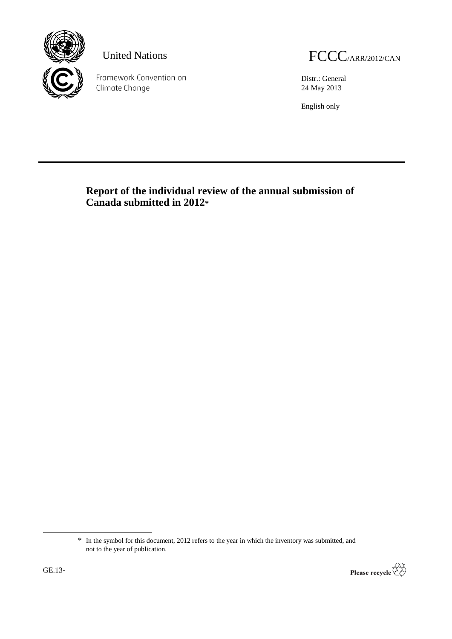

Framework Convention on Climate Change

United Nations FCCC/ARR/2012/CAN

Distr.: General 24 May 2013

English only

**Report of the individual review of the annual submission of Canada submitted in 2012\***

<sup>\*</sup> In the symbol for this document, 2012 refers to the year in which the inventory was submitted, and not to the year of publication.



-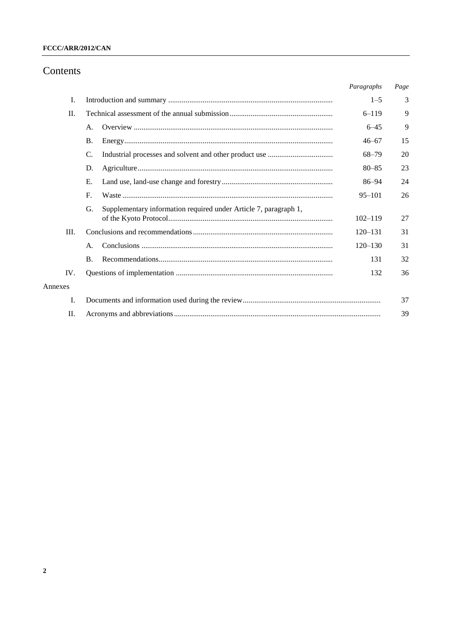## Contents

|         |                                                                        | Paragraphs  | Page |
|---------|------------------------------------------------------------------------|-------------|------|
| I.      |                                                                        | $1 - 5$     | 3    |
| $\Pi$ . |                                                                        | $6 - 119$   | 9    |
|         | Α.                                                                     | $6 - 45$    | 9    |
|         | <b>B.</b>                                                              | $46 - 67$   | 15   |
|         | C.                                                                     | $68 - 79$   | 20   |
|         | D.                                                                     | $80 - 85$   | 23   |
|         | Е.                                                                     | 86–94       | 24   |
|         | $F_{\rm c}$                                                            | $95 - 101$  | 26   |
|         | Supplementary information required under Article 7, paragraph 1,<br>G. | $102 - 119$ | 27   |
| III.    |                                                                        | $120 - 131$ | 31   |
|         | A.                                                                     | $120 - 130$ | 31   |
|         | <b>B.</b>                                                              | 131         | 32   |
| IV.     |                                                                        | 132         | 36   |
| Annexes |                                                                        |             |      |
| I.      |                                                                        |             | 37   |
| II.     |                                                                        |             | 39   |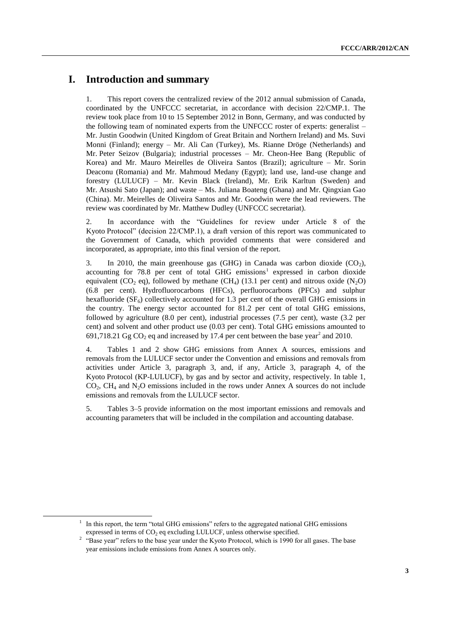## **I. Introduction and summary**

1. This report covers the centralized review of the 2012 annual submission of Canada, coordinated by the UNFCCC secretariat, in accordance with decision 22/CMP.1. The review took place from 10 to 15 September 2012 in Bonn, Germany, and was conducted by the following team of nominated experts from the UNFCCC roster of experts: generalist – Mr. Justin Goodwin (United Kingdom of Great Britain and Northern Ireland) and Ms. Suvi Monni (Finland); energy – Mr. Ali Can (Turkey), Ms. Rianne Dröge (Netherlands) and Mr. Peter Seizov (Bulgaria); industrial processes – Mr. Cheon-Hee Bang (Republic of Korea) and Mr. Mauro Meirelles de Oliveira Santos (Brazil); agriculture – Mr. Sorin Deaconu (Romania) and Mr. Mahmoud Medany (Egypt); land use, land-use change and forestry (LULUCF) – Mr. Kevin Black (Ireland), Mr. Erik Karltun (Sweden) and Mr. Atsushi Sato (Japan); and waste – Ms. Juliana Boateng (Ghana) and Mr. Qingxian Gao (China). Mr. Meirelles de Oliveira Santos and Mr. Goodwin were the lead reviewers. The review was coordinated by Mr. Matthew Dudley (UNFCCC secretariat).

2. In accordance with the "Guidelines for review under Article 8 of the Kyoto Protocol" (decision 22/CMP.1), a draft version of this report was communicated to the Government of Canada, which provided comments that were considered and incorporated, as appropriate, into this final version of the report.

3. In 2010, the main greenhouse gas (GHG) in Canada was carbon dioxide  $(CO<sub>2</sub>)$ , accounting for 78.8 per cent of total GHG emissions<sup>1</sup> expressed in carbon dioxide equivalent (CO<sub>2</sub> eq), followed by methane (CH<sub>4</sub>) (13.1 per cent) and nitrous oxide (N<sub>2</sub>O) (6.8 per cent). Hydrofluorocarbons (HFCs), perfluorocarbons (PFCs) and sulphur hexafluoride  $(SF_6)$  collectively accounted for 1.3 per cent of the overall GHG emissions in the country. The energy sector accounted for 81.2 per cent of total GHG emissions, followed by agriculture (8.0 per cent), industrial processes (7.5 per cent), waste (3.2 per cent) and solvent and other product use (0.03 per cent). Total GHG emissions amounted to 691,718.21 Gg  $CO_2$  eq and increased by 17.4 per cent between the base year<sup>2</sup> and 2010.

4. Tables 1 and 2 show GHG emissions from Annex A sources, emissions and removals from the LULUCF sector under the Convention and emissions and removals from activities under Article 3, paragraph 3, and, if any, Article 3, paragraph 4, of the Kyoto Protocol (KP-LULUCF), by gas and by sector and activity, respectively. In table 1,  $CO<sub>2</sub>$ , CH<sub>4</sub> and N<sub>2</sub>O emissions included in the rows under Annex A sources do not include emissions and removals from the LULUCF sector.

5. Tables 3–5 provide information on the most important emissions and removals and accounting parameters that will be included in the compilation and accounting database.

1

<sup>&</sup>lt;sup>1</sup> In this report, the term "total GHG emissions" refers to the aggregated national GHG emissions expressed in terms of  $CO<sub>2</sub>$  eq excluding LULUCF, unless otherwise specified.

<sup>&</sup>lt;sup>2</sup> "Base year" refers to the base year under the Kyoto Protocol, which is 1990 for all gases. The base year emissions include emissions from Annex A sources only.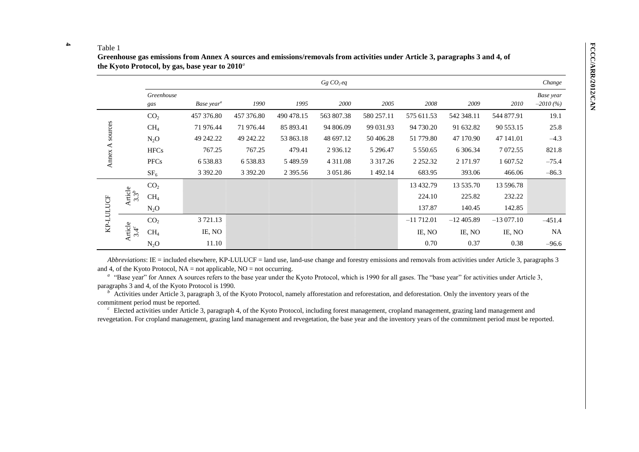#### **4** Table 1

**Greenhouse gas emissions from Annex A sources and emissions/removals from activities under Article 3, paragraphs 3 and 4, of the Kyoto Protocol, by gas, base year to 2010***<sup>a</sup>*

|           |                          |                   |                        |               |              | Gg CO <sub>2</sub> eq |               |               |             |             | Change                  |
|-----------|--------------------------|-------------------|------------------------|---------------|--------------|-----------------------|---------------|---------------|-------------|-------------|-------------------------|
|           |                          | Greenhouse<br>gas | Base year <sup>a</sup> | 1990          | 1995         | 2000                  | 2005          | 2008          | 2009        | 2010        | Base year<br>$-2010(%)$ |
|           |                          | CO <sub>2</sub>   | 457 376.80             | 457 376.80    | 490 478.15   | 563 807.38            | 580 257.11    | 575 611.53    | 542 348.11  | 544 877.91  | 19.1                    |
| sources   |                          | CH <sub>4</sub>   | 71 976.44              | 71 976.44     | 85 893.41    | 94 806.09             | 99 031.93     | 94 730.20     | 91 632.82   | 90 553.15   | 25.8                    |
|           |                          | $N_2O$            | 49 242.22              | 49 242.22     | 53 863.18    | 48 697.12             | 50 406.28     | 51 779.80     | 47 170.90   | 47 141.01   | $-4.3$                  |
| ≺         |                          | <b>HFCs</b>       | 767.25                 | 767.25        | 479.41       | 2 9 3 6 .12           | 5 2 9 6.47    | 5 5 5 0 . 6 5 | 6 30 6.34   | 7 072.55    | 821.8                   |
| Annex.    |                          | <b>PFCs</b>       | 6 5 3 8 . 8 3          | 6 5 3 8 . 8 3 | 5489.59      | 4 3 1 1 .08           | 3 3 1 7 . 2 6 | 2 2 5 2 . 3 2 | 2 171.97    | 1 607.52    | $-75.4$                 |
|           |                          | SF <sub>6</sub>   | 3 3 9 2 . 2 0          | 3 3 9 2.20    | 2 3 9 5 .5 6 | 3 0 5 1 .8 6          | 1 492.14      | 683.95        | 393.06      | 466.06      | $-86.3$                 |
|           |                          | CO <sub>2</sub>   |                        |               |              |                       |               | 13 432.79     | 13 535.70   | 13 596.78   |                         |
|           | Article<br>$3.3^b$       | CH <sub>4</sub>   |                        |               |              |                       |               | 224.10        | 225.82      | 232.22      |                         |
|           |                          | $N_2O$            |                        |               |              |                       |               | 137.87        | 140.45      | 142.85      |                         |
| KP-LULUCF |                          | CO <sub>2</sub>   | 3 721.13               |               |              |                       |               | $-11712.01$   | $-12405.89$ | $-13077.10$ | $-451.4$                |
|           | Article<br>3.4 $\degree$ | CH <sub>4</sub>   | IE, NO                 |               |              |                       |               | IE, NO        | IE, NO      | IE, NO      | <b>NA</b>               |
|           |                          | $N_2O$            | 11.10                  |               |              |                       |               | 0.70          | 0.37        | 0.38        | $-96.6$                 |

*Abbreviations*: IE = included elsewhere, KP-LULUCF = land use, land-use change and forestry emissions and removals from activities under Article 3, paragraphs 3 and 4, of the Kyoto Protocol,  $NA = not$  applicable,  $NO = not$  occurring.

<sup>a</sup> "Base year" for Annex A sources refers to the base year under the Kyoto Protocol, which is 1990 for all gases. The "base year" for activities under Article 3, paragraphs 3 and 4, of the Kyoto Protocol is 1990.

Activities under Article 3, paragraph 3, of the Kyoto Protocol, namely afforestation and reforestation, and deforestation. Only the inventory years of the commitment period must be reported.

 $c<sub>c</sub>$  Elected activities under Article 3, paragraph 4, of the Kyoto Protocol, including forest management, cropland management, grazing land management and revegetation. For cropland management, grazing land management and revegetation, the base year and the inventory years of the commitment period must be reported.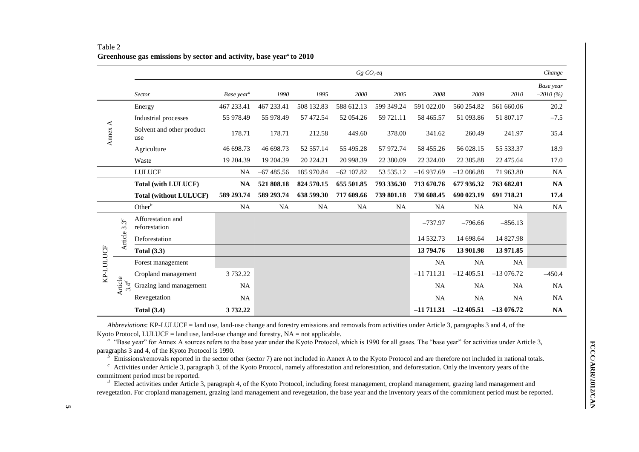|           |         | $Gg CO_2eq$                        |                        |             |            | Change       |            |             |             |             |                         |
|-----------|---------|------------------------------------|------------------------|-------------|------------|--------------|------------|-------------|-------------|-------------|-------------------------|
|           |         | Sector                             | Base year <sup>a</sup> | 1990        | 1995       | 2000         | 2005       | 2008        | 2009        | 2010        | Base year<br>$-2010(%)$ |
|           |         | Energy                             | 467 233.41             | 467 233.41  | 508 132.83 | 588 612.13   | 599 349.24 | 591 022.00  | 560 254.82  | 561 660.06  | 20.2                    |
|           |         | Industrial processes               | 55 978.49              | 55 978.49   | 57 472.54  | 52 054.26    | 59 721.11  | 58 465.57   | 51 093.86   | 51 807.17   | $-7.5$                  |
| Annex $A$ |         | Solvent and other product<br>use   | 178.71                 | 178.71      | 212.58     | 449.60       | 378.00     | 341.62      | 260.49      | 241.97      | 35.4                    |
|           |         | Agriculture                        | 46 698.73              | 46 698.73   | 52 557.14  | 55 495.28    | 57 972.74  | 58 455.26   | 56 028.15   | 55 533.37   | 18.9                    |
|           |         | Waste                              | 19 204.39              | 19 204.39   | 20 224.21  | 20 998.39    | 22 380.09  | 22 324.00   | 22 385.88   | 22 475.64   | 17.0                    |
|           |         | <b>LULUCF</b>                      | <b>NA</b>              | $-67485.56$ | 185 970.84 | $-62$ 107.82 | 53 535.12  | $-16937.69$ | $-12086.88$ | 71 963.80   | <b>NA</b>               |
|           |         | <b>Total (with LULUCF)</b>         | <b>NA</b>              | 521 808.18  | 824 570.15 | 655 501.85   | 793 336.30 | 713 670.76  | 677 936.32  | 763 682.01  | <b>NA</b>               |
|           |         | <b>Total (without LULUCF)</b>      | 589 293.74             | 589 293.74  | 638 599.30 | 717 609.66   | 739 801.18 | 730 608.45  | 690 023.19  | 691 718.21  | 17.4                    |
|           |         | Other $^b$                         | <b>NA</b>              | <b>NA</b>   | <b>NA</b>  | <b>NA</b>    | <b>NA</b>  | <b>NA</b>   | <b>NA</b>   | <b>NA</b>   | <b>NA</b>               |
|           | $3.3^c$ | Afforestation and<br>reforestation |                        |             |            |              |            | $-737.97$   | $-796.66$   | $-856.13$   |                         |
|           | Article | Deforestation                      |                        |             |            |              |            | 14 532.73   | 14 698.64   | 14 827.98   |                         |
|           |         | Total $(3.3)$                      |                        |             |            |              |            | 13 794.76   | 13 901.98   | 13 971.85   |                         |
|           |         | Forest management                  |                        |             |            |              |            | <b>NA</b>   | NA          | NA          |                         |
| KP-LULUCF |         | Cropland management                | 3 7 3 2.2 2            |             |            |              |            | $-11711.31$ | $-12405.51$ | $-13076.72$ | $-450.4$                |
|           | Article | Grazing land management            | <b>NA</b>              |             |            |              |            | <b>NA</b>   | <b>NA</b>   | <b>NA</b>   | NA                      |
|           |         | Revegetation                       | <b>NA</b>              |             |            |              |            | <b>NA</b>   | NA          | <b>NA</b>   | NA                      |
|           |         | <b>Total (3.4)</b>                 | 3732.22                |             |            |              |            | $-11711.31$ | $-12405.51$ | $-13076.72$ | <b>NA</b>               |

Table 2 **Greenhouse gas emissions by sector and activity, base year***<sup>a</sup>***to 2010**

*Abbreviations*: KP-LULUCF = land use, land-use change and forestry emissions and removals from activities under Article 3, paragraphs 3 and 4, of the Kyoto Protocol, LULUCF = land use, land-use change and forestry,  $NA = not$  applicable.

<sup>a</sup> "Base year" for Annex A sources refers to the base year under the Kyoto Protocol, which is 1990 for all gases. The "base year" for activities under Article 3, paragraphs 3 and 4, of the Kyoto Protocol is 1990.

 $\overrightarrow{b}$  Emissions/removals reported in the sector other (sector 7) are not included in Annex A to the Kyoto Protocol and are therefore not included in national totals.

 $c<sup>c</sup>$  Activities under Article 3, paragraph 3, of the Kyoto Protocol, namely afforestation and reforestation, and deforestation. Only the inventory years of the commitment period must be reported.

<sup>*d*</sup> Elected activities under Article 3, paragraph 4, of the Kyoto Protocol, including forest management, cropland management, grazing land management and revegetation. For cropland management, grazing land management and revegetation, the base year and the inventory years of the commitment period must be reported.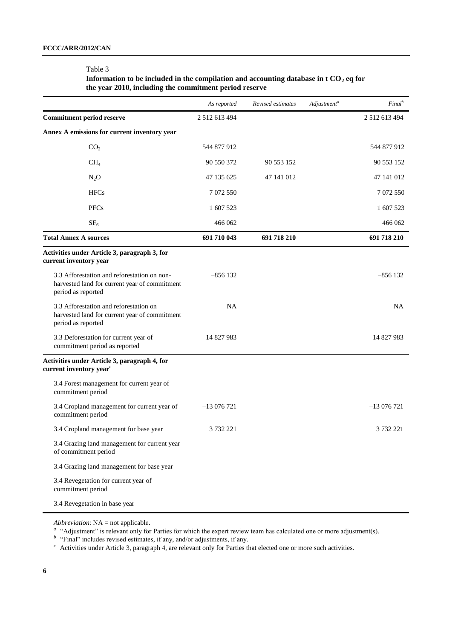#### Table 3

## **Information to be included in the compilation and accounting database in t CO<sup>2</sup> eq for the year 2010, including the commitment period reserve**

|                                                                                                                    | As reported   | Revised estimates | Adjustment <sup>a</sup> | $Final^b$           |
|--------------------------------------------------------------------------------------------------------------------|---------------|-------------------|-------------------------|---------------------|
| <b>Commitment period reserve</b>                                                                                   | 2 512 613 494 |                   |                         | 2 5 1 2 6 1 3 4 9 4 |
| Annex A emissions for current inventory year                                                                       |               |                   |                         |                     |
| CO <sub>2</sub>                                                                                                    | 544 877 912   |                   |                         | 544 877 912         |
| CH <sub>4</sub>                                                                                                    | 90 550 372    | 90 553 152        |                         | 90 553 152          |
| $N_2O$                                                                                                             | 47 135 625    | 47 141 012        |                         | 47 141 012          |
| <b>HFCs</b>                                                                                                        | 7 072 550     |                   |                         | 7 072 550           |
| <b>PFCs</b>                                                                                                        | 1 607 523     |                   |                         | 1 607 523           |
| SF <sub>6</sub>                                                                                                    | 466 062       |                   |                         | 466 062             |
| <b>Total Annex A sources</b>                                                                                       | 691 710 043   | 691 718 210       |                         | 691 718 210         |
| Activities under Article 3, paragraph 3, for<br>current inventory year                                             |               |                   |                         |                     |
| 3.3 Afforestation and reforestation on non-<br>harvested land for current year of commitment<br>period as reported | $-856132$     |                   |                         | $-856132$           |
| 3.3 Afforestation and reforestation on<br>harvested land for current year of commitment<br>period as reported      | <b>NA</b>     |                   |                         | <b>NA</b>           |
| 3.3 Deforestation for current year of<br>commitment period as reported                                             | 14 827 983    |                   |                         | 14 827 983          |
| Activities under Article 3, paragraph 4, for<br>current inventory year <sup>c</sup>                                |               |                   |                         |                     |
| 3.4 Forest management for current year of<br>commitment period                                                     |               |                   |                         |                     |
| 3.4 Cropland management for current year of<br>commitment period                                                   | $-13076721$   |                   |                         | $-13076721$         |
| 3.4 Cropland management for base year                                                                              | 3 732 221     |                   |                         | 3 732 221           |
| 3.4 Grazing land management for current year<br>of commitment period                                               |               |                   |                         |                     |
| 3.4 Grazing land management for base year                                                                          |               |                   |                         |                     |
| 3.4 Revegetation for current year of<br>commitment period                                                          |               |                   |                         |                     |
| 3.4 Revegetation in base year                                                                                      |               |                   |                         |                     |

*Abbreviation*: NA = not applicable.

<sup>a</sup> "Adjustment" is relevant only for Parties for which the expert review team has calculated one or more adjustment(s).

*b* "Final" includes revised estimates, if any, and/or adjustments, if any.

<sup>c</sup> Activities under Article 3, paragraph 4, are relevant only for Parties that elected one or more such activities.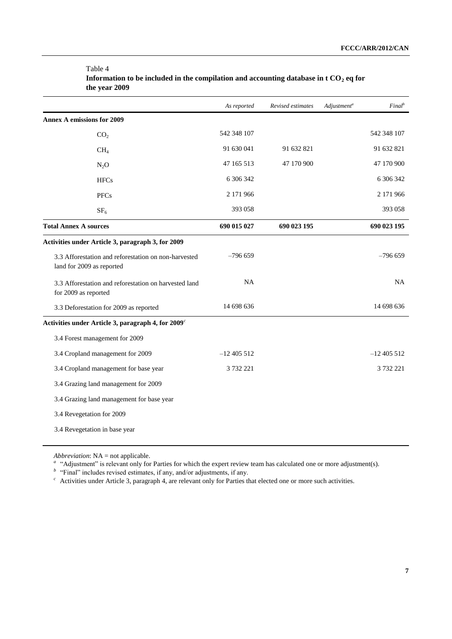|                                                                                   | As reported   | Revised estimates | Adjustment <sup>a</sup> | $Final^b$   |
|-----------------------------------------------------------------------------------|---------------|-------------------|-------------------------|-------------|
| <b>Annex A emissions for 2009</b>                                                 |               |                   |                         |             |
| CO <sub>2</sub>                                                                   | 542 348 107   |                   |                         | 542 348 107 |
| CH <sub>4</sub>                                                                   | 91 630 041    | 91 632 821        |                         | 91 632 821  |
| $N_2O$                                                                            | 47 165 513    | 47 170 900        |                         | 47 170 900  |
| <b>HFCs</b>                                                                       | 6 306 342     |                   |                         | 6 30 6 342  |
| <b>PFCs</b>                                                                       | 2 171 966     |                   |                         | 2 171 966   |
| SF <sub>6</sub>                                                                   | 393 058       |                   |                         | 393 058     |
| <b>Total Annex A sources</b>                                                      | 690 015 027   | 690 023 195       |                         | 690 023 195 |
| Activities under Article 3, paragraph 3, for 2009                                 |               |                   |                         |             |
| 3.3 Afforestation and reforestation on non-harvested<br>land for 2009 as reported | $-796659$     |                   |                         | $-796659$   |
| 3.3 Afforestation and reforestation on harvested land<br>for 2009 as reported     | <b>NA</b>     |                   |                         | NA          |
| 3.3 Deforestation for 2009 as reported                                            | 14 698 636    |                   |                         | 14 698 636  |
| Activities under Article 3, paragraph 4, for 2009 <sup>c</sup>                    |               |                   |                         |             |
| 3.4 Forest management for 2009                                                    |               |                   |                         |             |
| 3.4 Cropland management for 2009                                                  | $-12$ 405 512 |                   |                         | $-12405512$ |
| 3.4 Cropland management for base year                                             | 3 732 221     |                   |                         | 3 732 221   |
| 3.4 Grazing land management for 2009                                              |               |                   |                         |             |
| 3.4 Grazing land management for base year                                         |               |                   |                         |             |
| 3.4 Revegetation for 2009                                                         |               |                   |                         |             |
| 3.4 Revegetation in base year                                                     |               |                   |                         |             |

Table 4 **Information to be included in the compilation and accounting database in t CO<sup>2</sup> eq for the year 2009**

*Abbreviation*: NA = not applicable.

<sup>a</sup> "Adjustment" is relevant only for Parties for which the expert review team has calculated one or more adjustment(s).

*<sup>b</sup>*"Final" includes revised estimates, if any, and/or adjustments, if any.

<sup>c</sup> Activities under Article 3, paragraph 4, are relevant only for Parties that elected one or more such activities.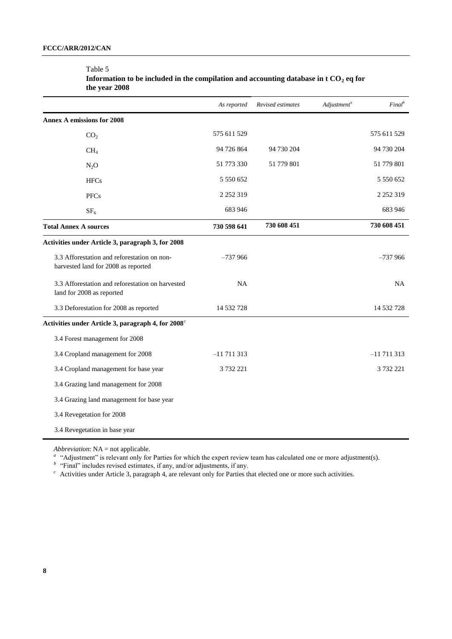|                                                                                    | As reported   | Revised estimates | Adjustment <sup>a</sup> | Final <sup>b</sup> |
|------------------------------------------------------------------------------------|---------------|-------------------|-------------------------|--------------------|
| <b>Annex A emissions for 2008</b>                                                  |               |                   |                         |                    |
| CO <sub>2</sub>                                                                    | 575 611 529   |                   |                         | 575 611 529        |
| CH <sub>4</sub>                                                                    | 94 726 864    | 94 730 204        |                         | 94 730 204         |
| $N_2O$                                                                             | 51 773 330    | 51 779 801        |                         | 51 779 801         |
| <b>HFCs</b>                                                                        | 5 550 652     |                   |                         | 5 550 652          |
| <b>PFCs</b>                                                                        | 2 2 5 2 3 1 9 |                   |                         | 2 2 5 2 3 1 9      |
| SF <sub>6</sub>                                                                    | 683 946       |                   |                         | 683 946            |
| <b>Total Annex A sources</b>                                                       | 730 598 641   | 730 608 451       |                         | 730 608 451        |
| Activities under Article 3, paragraph 3, for 2008                                  |               |                   |                         |                    |
| 3.3 Afforestation and reforestation on non-<br>harvested land for 2008 as reported | $-737966$     |                   |                         | $-737966$          |
| 3.3 Afforestation and reforestation on harvested<br>land for 2008 as reported      | <b>NA</b>     |                   |                         | <b>NA</b>          |
| 3.3 Deforestation for 2008 as reported                                             | 14 532 728    |                   |                         | 14 532 728         |
| Activities under Article 3, paragraph 4, for 2008 <sup>c</sup>                     |               |                   |                         |                    |
| 3.4 Forest management for 2008                                                     |               |                   |                         |                    |
| 3.4 Cropland management for 2008                                                   | $-11711313$   |                   |                         | $-11711313$        |
| 3.4 Cropland management for base year                                              | 3 732 221     |                   |                         | 3 732 221          |
| 3.4 Grazing land management for 2008                                               |               |                   |                         |                    |
| 3.4 Grazing land management for base year                                          |               |                   |                         |                    |
| 3.4 Revegetation for 2008                                                          |               |                   |                         |                    |
| 3.4 Revegetation in base year                                                      |               |                   |                         |                    |

## Table 5

| Information to be included in the compilation and accounting database in t CO <sub>2</sub> eq for |  |
|---------------------------------------------------------------------------------------------------|--|
| the year 2008                                                                                     |  |

*Abbreviation*: NA = not applicable.

<sup>a</sup> "Adjustment" is relevant only for Parties for which the expert review team has calculated one or more adjustment(s).

*<sup>b</sup>*"Final" includes revised estimates, if any, and/or adjustments, if any.

 $c<sup>c</sup>$  Activities under Article 3, paragraph 4, are relevant only for Parties that elected one or more such activities.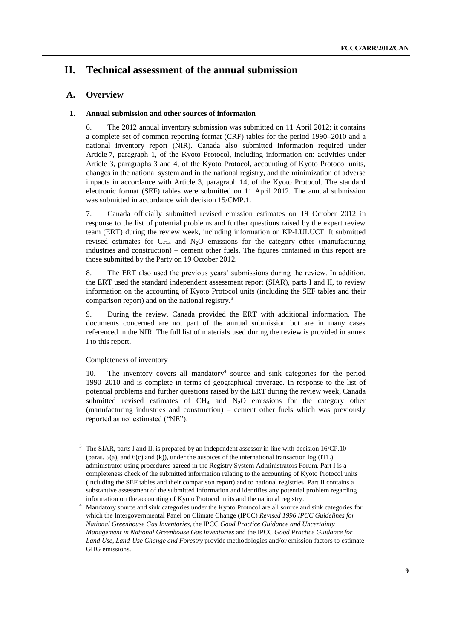## **II. Technical assessment of the annual submission**

## **A. Overview**

## **1. Annual submission and other sources of information**

6. The 2012 annual inventory submission was submitted on 11 April 2012; it contains a complete set of common reporting format (CRF) tables for the period 1990–2010 and a national inventory report (NIR). Canada also submitted information required under Article 7, paragraph 1, of the Kyoto Protocol, including information on: activities under Article 3, paragraphs 3 and 4, of the Kyoto Protocol, accounting of Kyoto Protocol units, changes in the national system and in the national registry, and the minimization of adverse impacts in accordance with Article 3, paragraph 14, of the Kyoto Protocol. The standard electronic format (SEF) tables were submitted on 11 April 2012. The annual submission was submitted in accordance with decision 15/CMP.1.

7. Canada officially submitted revised emission estimates on 19 October 2012 in response to the list of potential problems and further questions raised by the expert review team (ERT) during the review week, including information on KP-LULUCF. It submitted revised estimates for  $CH<sub>4</sub>$  and N<sub>2</sub>O emissions for the category other (manufacturing industries and construction) – cement other fuels. The figures contained in this report are those submitted by the Party on 19 October 2012.

8. The ERT also used the previous years' submissions during the review. In addition, the ERT used the standard independent assessment report (SIAR), parts I and II, to review information on the accounting of Kyoto Protocol units (including the SEF tables and their comparison report) and on the national registry.<sup>3</sup>

9. During the review, Canada provided the ERT with additional information. The documents concerned are not part of the annual submission but are in many cases referenced in the NIR. The full list of materials used during the review is provided in annex I to this report.

## Completeness of inventory

1

10. The inventory covers all mandatory<sup>4</sup> source and sink categories for the period 1990–2010 and is complete in terms of geographical coverage. In response to the list of potential problems and further questions raised by the ERT during the review week, Canada submitted revised estimates of  $CH_4$  and  $N_2O$  emissions for the category other (manufacturing industries and construction) – cement other fuels which was previously reported as not estimated ("NE").

The SIAR, parts I and II, is prepared by an independent assessor in line with decision 16/CP.10 (paras. 5(a), and 6(c) and (k)), under the auspices of the international transaction log (ITL) administrator using procedures agreed in the Registry System Administrators Forum. Part I is a completeness check of the submitted information relating to the accounting of Kyoto Protocol units (including the SEF tables and their comparison report) and to national registries. Part II contains a substantive assessment of the submitted information and identifies any potential problem regarding information on the accounting of Kyoto Protocol units and the national registry.

<sup>4</sup> Mandatory source and sink categories under the Kyoto Protocol are all source and sink categories for which the Intergovernmental Panel on Climate Change (IPCC) *Revised 1996 IPCC Guidelines for National Greenhouse Gas Inventories*, the IPCC *Good Practice Guidance and Uncertainty Management in National Greenhouse Gas Inventories* and the IPCC *Good Practice Guidance for Land Use, Land-Use Change and Forestry* provide methodologies and/or emission factors to estimate GHG emissions.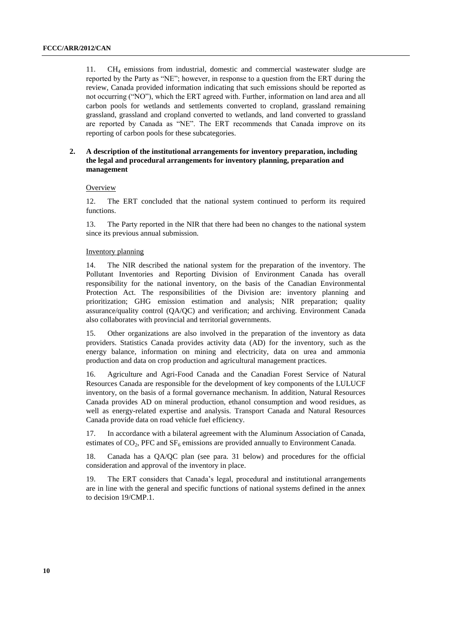11. CH<sup>4</sup> emissions from industrial, domestic and commercial wastewater sludge are reported by the Party as "NE"; however, in response to a question from the ERT during the review, Canada provided information indicating that such emissions should be reported as not occurring ("NO"), which the ERT agreed with. Further, information on land area and all carbon pools for wetlands and settlements converted to cropland, grassland remaining grassland, grassland and cropland converted to wetlands, and land converted to grassland are reported by Canada as "NE". The ERT recommends that Canada improve on its reporting of carbon pools for these subcategories.

## **2. A description of the institutional arrangements for inventory preparation, including the legal and procedural arrangements for inventory planning, preparation and management**

### **Overview**

12. The ERT concluded that the national system continued to perform its required functions.

13. The Party reported in the NIR that there had been no changes to the national system since its previous annual submission.

#### Inventory planning

14. The NIR described the national system for the preparation of the inventory. The Pollutant Inventories and Reporting Division of Environment Canada has overall responsibility for the national inventory, on the basis of the Canadian Environmental Protection Act. The responsibilities of the Division are: inventory planning and prioritization; GHG emission estimation and analysis; NIR preparation; quality assurance/quality control (QA/QC) and verification; and archiving. Environment Canada also collaborates with provincial and territorial governments.

15. Other organizations are also involved in the preparation of the inventory as data providers. Statistics Canada provides activity data (AD) for the inventory, such as the energy balance, information on mining and electricity, data on urea and ammonia production and data on crop production and agricultural management practices.

16. Agriculture and Agri-Food Canada and the Canadian Forest Service of Natural Resources Canada are responsible for the development of key components of the LULUCF inventory, on the basis of a formal governance mechanism. In addition, Natural Resources Canada provides AD on mineral production, ethanol consumption and wood residues, as well as energy-related expertise and analysis. Transport Canada and Natural Resources Canada provide data on road vehicle fuel efficiency.

17. In accordance with a bilateral agreement with the Aluminum Association of Canada, estimates of  $CO<sub>2</sub>$ , PFC and  $SF<sub>6</sub>$  emissions are provided annually to Environment Canada.

18. Canada has a QA/QC plan (see para. 31 below) and procedures for the official consideration and approval of the inventory in place.

19. The ERT considers that Canada's legal, procedural and institutional arrangements are in line with the general and specific functions of national systems defined in the annex to decision 19/CMP.1.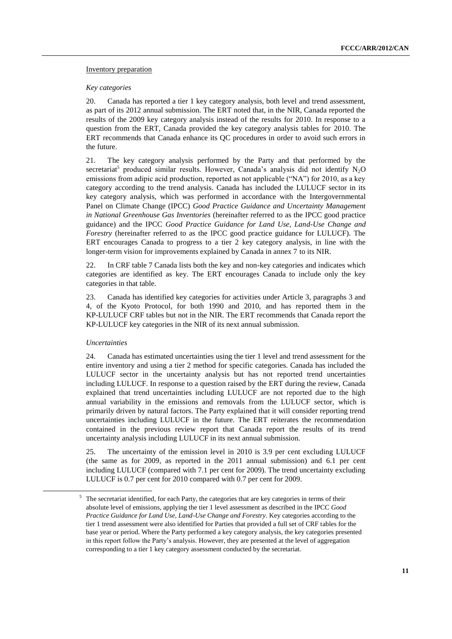## Inventory preparation

## *Key categories*

20. Canada has reported a tier 1 key category analysis, both level and trend assessment, as part of its 2012 annual submission. The ERT noted that, in the NIR, Canada reported the results of the 2009 key category analysis instead of the results for 2010. In response to a question from the ERT, Canada provided the key category analysis tables for 2010. The ERT recommends that Canada enhance its QC procedures in order to avoid such errors in the future.

21. The key category analysis performed by the Party and that performed by the secretariat<sup>5</sup> produced similar results. However, Canada's analysis did not identify  $N_2O$ emissions from adipic acid production, reported as not applicable ("NA") for 2010, as a key category according to the trend analysis. Canada has included the LULUCF sector in its key category analysis, which was performed in accordance with the Intergovernmental Panel on Climate Change (IPCC) *Good Practice Guidance and Uncertainty Management in National Greenhouse Gas Inventories* (hereinafter referred to as the IPCC good practice guidance) and the IPCC *Good Practice Guidance for Land Use, Land-Use Change and Forestry* (hereinafter referred to as the IPCC good practice guidance for LULUCF). The ERT encourages Canada to progress to a tier 2 key category analysis, in line with the longer-term vision for improvements explained by Canada in annex 7 to its NIR.

22. In CRF table 7 Canada lists both the key and non-key categories and indicates which categories are identified as key. The ERT encourages Canada to include only the key categories in that table.

23. Canada has identified key categories for activities under Article 3, paragraphs 3 and 4, of the Kyoto Protocol, for both 1990 and 2010, and has reported them in the KP-LULUCF CRF tables but not in the NIR. The ERT recommends that Canada report the KP-LULUCF key categories in the NIR of its next annual submission.

## *Uncertainties*

1

24. Canada has estimated uncertainties using the tier 1 level and trend assessment for the entire inventory and using a tier 2 method for specific categories. Canada has included the LULUCF sector in the uncertainty analysis but has not reported trend uncertainties including LULUCF. In response to a question raised by the ERT during the review, Canada explained that trend uncertainties including LULUCF are not reported due to the high annual variability in the emissions and removals from the LULUCF sector, which is primarily driven by natural factors. The Party explained that it will consider reporting trend uncertainties including LULUCF in the future. The ERT reiterates the recommendation contained in the previous review report that Canada report the results of its trend uncertainty analysis including LULUCF in its next annual submission.

25. The uncertainty of the emission level in 2010 is 3.9 per cent excluding LULUCF (the same as for 2009, as reported in the 2011 annual submission) and 6.1 per cent including LULUCF (compared with 7.1 per cent for 2009). The trend uncertainty excluding LULUCF is 0.7 per cent for 2010 compared with 0.7 per cent for 2009.

<sup>&</sup>lt;sup>5</sup> The secretariat identified, for each Party, the categories that are key categories in terms of their absolute level of emissions, applying the tier 1 level assessment as described in the IPCC *Good Practice Guidance for Land Use, Land-Use Change and Forestry*. Key categories according to the tier 1 trend assessment were also identified for Parties that provided a full set of CRF tables for the base year or period. Where the Party performed a key category analysis, the key categories presented in this report follow the Party's analysis. However, they are presented at the level of aggregation corresponding to a tier 1 key category assessment conducted by the secretariat.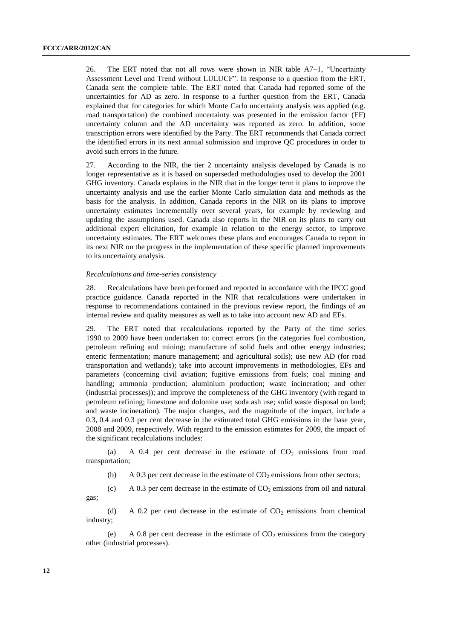26. The ERT noted that not all rows were shown in NIR table A7–1, "Uncertainty Assessment Level and Trend without LULUCF". In response to a question from the ERT, Canada sent the complete table. The ERT noted that Canada had reported some of the uncertainties for AD as zero. In response to a further question from the ERT, Canada explained that for categories for which Monte Carlo uncertainty analysis was applied (e.g. road transportation) the combined uncertainty was presented in the emission factor (EF) uncertainty column and the AD uncertainty was reported as zero. In addition, some transcription errors were identified by the Party. The ERT recommends that Canada correct the identified errors in its next annual submission and improve QC procedures in order to avoid such errors in the future.

27. According to the NIR, the tier 2 uncertainty analysis developed by Canada is no longer representative as it is based on superseded methodologies used to develop the 2001 GHG inventory. Canada explains in the NIR that in the longer term it plans to improve the uncertainty analysis and use the earlier Monte Carlo simulation data and methods as the basis for the analysis. In addition, Canada reports in the NIR on its plans to improve uncertainty estimates incrementally over several years, for example by reviewing and updating the assumptions used. Canada also reports in the NIR on its plans to carry out additional expert elicitation, for example in relation to the energy sector, to improve uncertainty estimates. The ERT welcomes these plans and encourages Canada to report in its next NIR on the progress in the implementation of these specific planned improvements to its uncertainty analysis.

#### *Recalculations and time-series consistency*

28. Recalculations have been performed and reported in accordance with the IPCC good practice guidance. Canada reported in the NIR that recalculations were undertaken in response to recommendations contained in the previous review report, the findings of an internal review and quality measures as well as to take into account new AD and EFs.

29. The ERT noted that recalculations reported by the Party of the time series 1990 to 2009 have been undertaken to: correct errors (in the categories fuel combustion, petroleum refining and mining; manufacture of solid fuels and other energy industries; enteric fermentation; manure management; and agricultural soils); use new AD (for road transportation and wetlands); take into account improvements in methodologies, EFs and parameters (concerning civil aviation; fugitive emissions from fuels; coal mining and handling; ammonia production; aluminium production; waste incineration; and other (industrial processes)); and improve the completeness of the GHG inventory (with regard to petroleum refining; limestone and dolomite use; soda ash use; solid waste disposal on land; and waste incineration). The major changes, and the magnitude of the impact, include a 0.3, 0.4 and 0.3 per cent decrease in the estimated total GHG emissions in the base year, 2008 and 2009, respectively. With regard to the emission estimates for 2009, the impact of the significant recalculations includes:

(a) A 0.4 per cent decrease in the estimate of  $CO<sub>2</sub>$  emissions from road transportation;

(b) A 0.3 per cent decrease in the estimate of  $CO<sub>2</sub>$  emissions from other sectors;

(c) A 0.3 per cent decrease in the estimate of  $CO<sub>2</sub>$  emissions from oil and natural gas;

(d) A 0.2 per cent decrease in the estimate of  $CO<sub>2</sub>$  emissions from chemical industry;

(e) A 0.8 per cent decrease in the estimate of  $CO<sub>2</sub>$  emissions from the category other (industrial processes).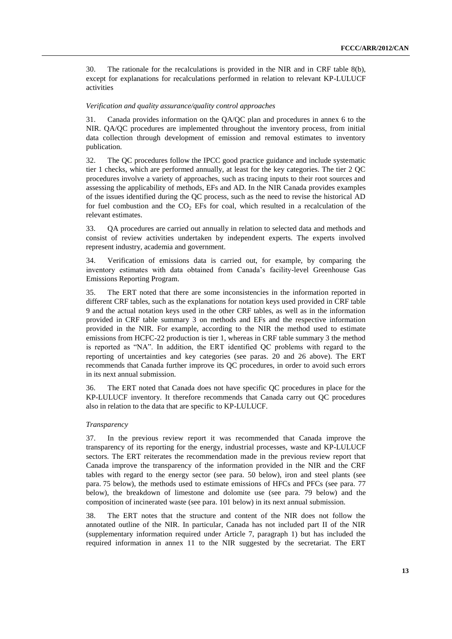30. The rationale for the recalculations is provided in the NIR and in CRF table 8(b), except for explanations for recalculations performed in relation to relevant KP-LULUCF activities

#### *Verification and quality assurance/quality control approaches*

31. Canada provides information on the QA/QC plan and procedures in annex 6 to the NIR. QA/QC procedures are implemented throughout the inventory process, from initial data collection through development of emission and removal estimates to inventory publication.

32. The QC procedures follow the IPCC good practice guidance and include systematic tier 1 checks, which are performed annually, at least for the key categories. The tier 2 QC procedures involve a variety of approaches, such as tracing inputs to their root sources and assessing the applicability of methods, EFs and AD. In the NIR Canada provides examples of the issues identified during the QC process, such as the need to revise the historical AD for fuel combustion and the  $CO<sub>2</sub>$  EFs for coal, which resulted in a recalculation of the relevant estimates.

33. QA procedures are carried out annually in relation to selected data and methods and consist of review activities undertaken by independent experts. The experts involved represent industry, academia and government.

34. Verification of emissions data is carried out, for example, by comparing the inventory estimates with data obtained from Canada's facility-level Greenhouse Gas Emissions Reporting Program.

35. The ERT noted that there are some inconsistencies in the information reported in different CRF tables, such as the explanations for notation keys used provided in CRF table 9 and the actual notation keys used in the other CRF tables, as well as in the information provided in CRF table summary 3 on methods and EFs and the respective information provided in the NIR. For example, according to the NIR the method used to estimate emissions from HCFC-22 production is tier 1, whereas in CRF table summary 3 the method is reported as "NA". In addition, the ERT identified QC problems with regard to the reporting of uncertainties and key categories (see paras. 20 and 26 above). The ERT recommends that Canada further improve its QC procedures, in order to avoid such errors in its next annual submission.

36. The ERT noted that Canada does not have specific QC procedures in place for the KP-LULUCF inventory. It therefore recommends that Canada carry out QC procedures also in relation to the data that are specific to KP-LULUCF.

#### *Transparency*

37. In the previous review report it was recommended that Canada improve the transparency of its reporting for the energy, industrial processes, waste and KP-LULUCF sectors. The ERT reiterates the recommendation made in the previous review report that Canada improve the transparency of the information provided in the NIR and the CRF tables with regard to the energy sector (see para. 50 below), iron and steel plants (see para. 75 below), the methods used to estimate emissions of HFCs and PFCs (see para. 77 below), the breakdown of limestone and dolomite use (see para. 79 below) and the composition of incinerated waste (see para. 101 below) in its next annual submission.

38. The ERT notes that the structure and content of the NIR does not follow the annotated outline of the NIR. In particular, Canada has not included part II of the NIR (supplementary information required under Article 7, paragraph 1) but has included the required information in annex 11 to the NIR suggested by the secretariat. The ERT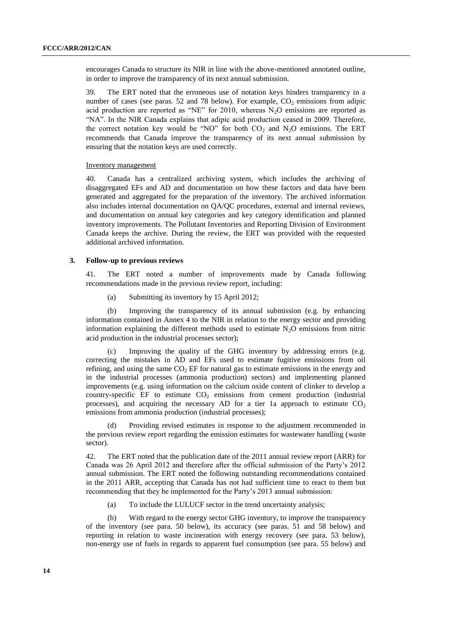encourages Canada to structure its NIR in line with the above-mentioned annotated outline, in order to improve the transparency of its next annual submission.

39. The ERT noted that the erroneous use of notation keys hinders transparency in a number of cases (see paras. 52 and 78 below). For example,  $CO<sub>2</sub>$  emissions from adipic acid production are reported as "NE" for 2010, whereas  $N_2O$  emissions are reported as "NA". In the NIR Canada explains that adipic acid production ceased in 2009. Therefore, the correct notation key would be "NO" for both  $CO<sub>2</sub>$  and N<sub>2</sub>O emissions. The ERT recommends that Canada improve the transparency of its next annual submission by ensuring that the notation keys are used correctly.

#### Inventory management

40. Canada has a centralized archiving system, which includes the archiving of disaggregated EFs and AD and documentation on how these factors and data have been generated and aggregated for the preparation of the inventory. The archived information also includes internal documentation on QA/QC procedures, external and internal reviews, and documentation on annual key categories and key category identification and planned inventory improvements. The Pollutant Inventories and Reporting Division of Environment Canada keeps the archive. During the review, the ERT was provided with the requested additional archived information.

#### **3. Follow-up to previous reviews**

41. The ERT noted a number of improvements made by Canada following recommendations made in the previous review report, including:

(a) Submitting its inventory by 15 April 2012;

(b) Improving the transparency of its annual submission (e.g. by enhancing information contained in Annex 4 to the NIR in relation to the energy sector and providing information explaining the different methods used to estimate  $N_2O$  emissions from nitric acid production in the industrial processes sector);

Improving the quality of the GHG inventory by addressing errors (e.g. correcting the mistakes in AD and EFs used to estimate fugitive emissions from oil refining, and using the same  $CO<sub>2</sub> EF$  for natural gas to estimate emissions in the energy and in the industrial processes (ammonia production) sectors) and implementing planned improvements (e.g. using information on the calcium oxide content of clinker to develop a country-specific EF to estimate  $CO<sub>2</sub>$  emissions from cement production (industrial processes), and acquiring the necessary AD for a tier 1a approach to estimate  $CO<sub>2</sub>$ emissions from ammonia production (industrial processes);

Providing revised estimates in response to the adjustment recommended in the previous review report regarding the emission estimates for wastewater handling (waste sector).

42. The ERT noted that the publication date of the 2011 annual review report (ARR) for Canada was 26 April 2012 and therefore after the official submission of the Party's 2012 annual submission. The ERT noted the following outstanding recommendations contained in the 2011 ARR, accepting that Canada has not had sufficient time to react to them but recommending that they be implemented for the Party's 2013 annual submission:

(a) To include the LULUCF sector in the trend uncertainty analysis;

(b) With regard to the energy sector GHG inventory, to improve the transparency of the inventory (see para. 50 below), its accuracy (see paras. 51 and 58 below) and reporting in relation to waste incineration with energy recovery (see para. 53 below), non-energy use of fuels in regards to apparent fuel consumption (see para. 55 below) and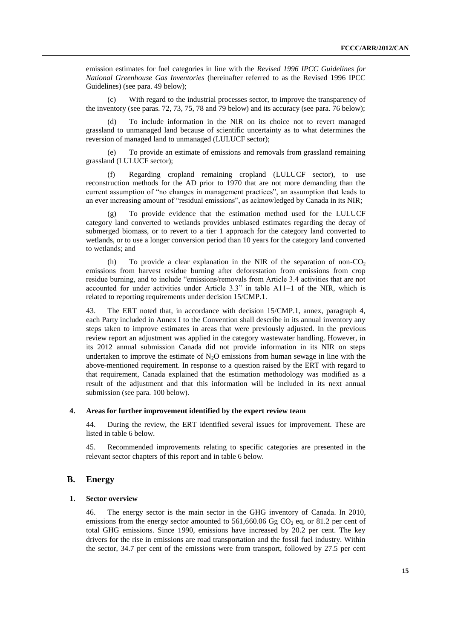emission estimates for fuel categories in line with the *Revised 1996 IPCC Guidelines for National Greenhouse Gas Inventories* (hereinafter referred to as the Revised 1996 IPCC Guidelines) (see para. 49 below);

(c) With regard to the industrial processes sector, to improve the transparency of the inventory (see paras. 72, 73, 75, 78 and 79 below) and its accuracy (see para. 76 below);

(d) To include information in the NIR on its choice not to revert managed grassland to unmanaged land because of scientific uncertainty as to what determines the reversion of managed land to unmanaged (LULUCF sector);

To provide an estimate of emissions and removals from grassland remaining grassland (LULUCF sector);

(f) Regarding cropland remaining cropland (LULUCF sector), to use reconstruction methods for the AD prior to 1970 that are not more demanding than the current assumption of "no changes in management practices", an assumption that leads to an ever increasing amount of "residual emissions", as acknowledged by Canada in its NIR;

(g) To provide evidence that the estimation method used for the LULUCF category land converted to wetlands provides unbiased estimates regarding the decay of submerged biomass, or to revert to a tier 1 approach for the category land converted to wetlands, or to use a longer conversion period than 10 years for the category land converted to wetlands; and

(h) To provide a clear explanation in the NIR of the separation of non- $CO<sub>2</sub>$ emissions from harvest residue burning after deforestation from emissions from crop residue burning, and to include "emissions/removals from Article 3.4 activities that are not accounted for under activities under Article 3.3" in table A11–1 of the NIR, which is related to reporting requirements under decision 15/CMP.1.

43. The ERT noted that, in accordance with decision 15/CMP.1, annex, paragraph 4, each Party included in Annex I to the Convention shall describe in its annual inventory any steps taken to improve estimates in areas that were previously adjusted. In the previous review report an adjustment was applied in the category wastewater handling. However, in its 2012 annual submission Canada did not provide information in its NIR on steps undertaken to improve the estimate of  $N_2O$  emissions from human sewage in line with the above-mentioned requirement. In response to a question raised by the ERT with regard to that requirement, Canada explained that the estimation methodology was modified as a result of the adjustment and that this information will be included in its next annual submission (see para. 100 below).

## **4. Areas for further improvement identified by the expert review team**

44. During the review, the ERT identified several issues for improvement. These are listed in table 6 below.

45. Recommended improvements relating to specific categories are presented in the relevant sector chapters of this report and in table 6 below.

## **B. Energy**

#### **1. Sector overview**

46. The energy sector is the main sector in the GHG inventory of Canada. In 2010, emissions from the energy sector amounted to 561,660.06 Gg  $CO<sub>2</sub>$  eq, or 81.2 per cent of total GHG emissions. Since 1990, emissions have increased by 20.2 per cent. The key drivers for the rise in emissions are road transportation and the fossil fuel industry. Within the sector, 34.7 per cent of the emissions were from transport, followed by 27.5 per cent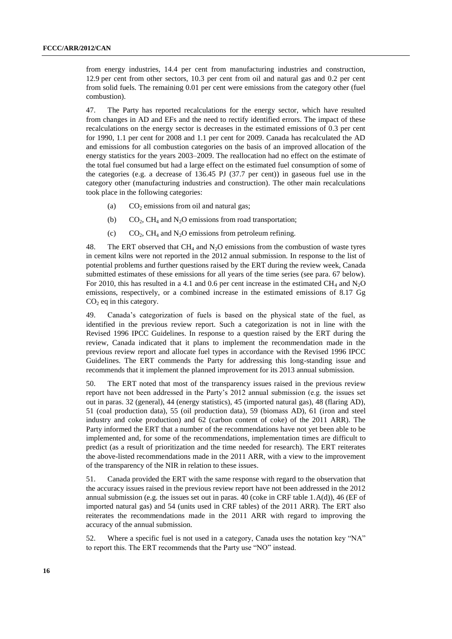from energy industries, 14.4 per cent from manufacturing industries and construction, 12.9 per cent from other sectors, 10.3 per cent from oil and natural gas and 0.2 per cent from solid fuels. The remaining 0.01 per cent were emissions from the category other (fuel combustion).

47. The Party has reported recalculations for the energy sector, which have resulted from changes in AD and EFs and the need to rectify identified errors. The impact of these recalculations on the energy sector is decreases in the estimated emissions of 0.3 per cent for 1990, 1.1 per cent for 2008 and 1.1 per cent for 2009. Canada has recalculated the AD and emissions for all combustion categories on the basis of an improved allocation of the energy statistics for the years 2003–2009. The reallocation had no effect on the estimate of the total fuel consumed but had a large effect on the estimated fuel consumption of some of the categories (e.g. a decrease of 136.45 PJ (37.7 per cent)) in gaseous fuel use in the category other (manufacturing industries and construction). The other main recalculations took place in the following categories:

- (a)  $CO<sub>2</sub>$  emissions from oil and natural gas;
- (b)  $CO<sub>2</sub>$ , CH<sub>4</sub> and N<sub>2</sub>O emissions from road transportation;
- (c)  $CO_2$ , CH<sub>4</sub> and N<sub>2</sub>O emissions from petroleum refining.

48. The ERT observed that  $CH_4$  and  $N<sub>2</sub>O$  emissions from the combustion of waste tyres in cement kilns were not reported in the 2012 annual submission. In response to the list of potential problems and further questions raised by the ERT during the review week, Canada submitted estimates of these emissions for all years of the time series (see para. 67 below). For 2010, this has resulted in a 4.1 and 0.6 per cent increase in the estimated  $CH_4$  and  $N<sub>2</sub>O$ emissions, respectively, or a combined increase in the estimated emissions of 8.17 Gg  $CO<sub>2</sub>$  eq in this category.

49. Canada's categorization of fuels is based on the physical state of the fuel, as identified in the previous review report. Such a categorization is not in line with the Revised 1996 IPCC Guidelines. In response to a question raised by the ERT during the review, Canada indicated that it plans to implement the recommendation made in the previous review report and allocate fuel types in accordance with the Revised 1996 IPCC Guidelines. The ERT commends the Party for addressing this long-standing issue and recommends that it implement the planned improvement for its 2013 annual submission.

50. The ERT noted that most of the transparency issues raised in the previous review report have not been addressed in the Party's 2012 annual submission (e.g. the issues set out in paras. 32 (general), 44 (energy statistics), 45 (imported natural gas), 48 (flaring AD), 51 (coal production data), 55 (oil production data), 59 (biomass AD), 61 (iron and steel industry and coke production) and 62 (carbon content of coke) of the 2011 ARR). The Party informed the ERT that a number of the recommendations have not yet been able to be implemented and, for some of the recommendations, implementation times are difficult to predict (as a result of prioritization and the time needed for research). The ERT reiterates the above-listed recommendations made in the 2011 ARR, with a view to the improvement of the transparency of the NIR in relation to these issues.

51. Canada provided the ERT with the same response with regard to the observation that the accuracy issues raised in the previous review report have not been addressed in the 2012 annual submission (e.g. the issues set out in paras. 40 (coke in CRF table 1.A(d)), 46 (EF of imported natural gas) and 54 (units used in CRF tables) of the 2011 ARR). The ERT also reiterates the recommendations made in the 2011 ARR with regard to improving the accuracy of the annual submission.

52. Where a specific fuel is not used in a category, Canada uses the notation key "NA" to report this. The ERT recommends that the Party use "NO" instead.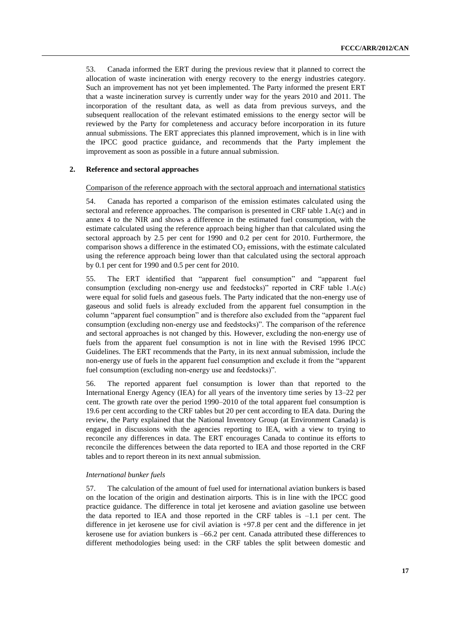53. Canada informed the ERT during the previous review that it planned to correct the allocation of waste incineration with energy recovery to the energy industries category. Such an improvement has not yet been implemented. The Party informed the present ERT that a waste incineration survey is currently under way for the years 2010 and 2011. The incorporation of the resultant data, as well as data from previous surveys, and the subsequent reallocation of the relevant estimated emissions to the energy sector will be reviewed by the Party for completeness and accuracy before incorporation in its future annual submissions. The ERT appreciates this planned improvement, which is in line with the IPCC good practice guidance, and recommends that the Party implement the improvement as soon as possible in a future annual submission.

#### **2. Reference and sectoral approaches**

#### Comparison of the reference approach with the sectoral approach and international statistics

54. Canada has reported a comparison of the emission estimates calculated using the sectoral and reference approaches. The comparison is presented in CRF table 1.A(c) and in annex 4 to the NIR and shows a difference in the estimated fuel consumption, with the estimate calculated using the reference approach being higher than that calculated using the sectoral approach by 2.5 per cent for 1990 and 0.2 per cent for 2010. Furthermore, the comparison shows a difference in the estimated  $CO<sub>2</sub>$  emissions, with the estimate calculated using the reference approach being lower than that calculated using the sectoral approach by 0.1 per cent for 1990 and 0.5 per cent for 2010.

55. The ERT identified that "apparent fuel consumption" and "apparent fuel consumption (excluding non-energy use and feedstocks)" reported in CRF table 1.A(c) were equal for solid fuels and gaseous fuels. The Party indicated that the non-energy use of gaseous and solid fuels is already excluded from the apparent fuel consumption in the column "apparent fuel consumption" and is therefore also excluded from the "apparent fuel consumption (excluding non-energy use and feedstocks)". The comparison of the reference and sectoral approaches is not changed by this. However, excluding the non-energy use of fuels from the apparent fuel consumption is not in line with the Revised 1996 IPCC Guidelines. The ERT recommends that the Party, in its next annual submission, include the non-energy use of fuels in the apparent fuel consumption and exclude it from the "apparent fuel consumption (excluding non-energy use and feedstocks)".

56. The reported apparent fuel consumption is lower than that reported to the International Energy Agency (IEA) for all years of the inventory time series by 13–22 per cent. The growth rate over the period 1990–2010 of the total apparent fuel consumption is 19.6 per cent according to the CRF tables but 20 per cent according to IEA data. During the review, the Party explained that the National Inventory Group (at Environment Canada) is engaged in discussions with the agencies reporting to IEA, with a view to trying to reconcile any differences in data. The ERT encourages Canada to continue its efforts to reconcile the differences between the data reported to IEA and those reported in the CRF tables and to report thereon in its next annual submission.

#### *International bunker fuels*

57. The calculation of the amount of fuel used for international aviation bunkers is based on the location of the origin and destination airports. This is in line with the IPCC good practice guidance. The difference in total jet kerosene and aviation gasoline use between the data reported to IEA and those reported in the CRF tables is  $-1.1$  per cent. The difference in jet kerosene use for civil aviation is +97.8 per cent and the difference in jet kerosene use for aviation bunkers is –66.2 per cent. Canada attributed these differences to different methodologies being used: in the CRF tables the split between domestic and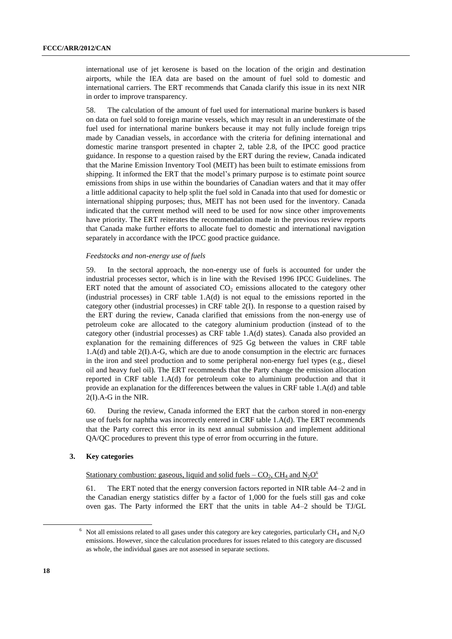international use of jet kerosene is based on the location of the origin and destination airports, while the IEA data are based on the amount of fuel sold to domestic and international carriers. The ERT recommends that Canada clarify this issue in its next NIR in order to improve transparency.

58. The calculation of the amount of fuel used for international marine bunkers is based on data on fuel sold to foreign marine vessels, which may result in an underestimate of the fuel used for international marine bunkers because it may not fully include foreign trips made by Canadian vessels, in accordance with the criteria for defining international and domestic marine transport presented in chapter 2, table 2.8, of the IPCC good practice guidance. In response to a question raised by the ERT during the review, Canada indicated that the Marine Emission Inventory Tool (MEIT) has been built to estimate emissions from shipping. It informed the ERT that the model's primary purpose is to estimate point source emissions from ships in use within the boundaries of Canadian waters and that it may offer a little additional capacity to help split the fuel sold in Canada into that used for domestic or international shipping purposes; thus, MEIT has not been used for the inventory. Canada indicated that the current method will need to be used for now since other improvements have priority. The ERT reiterates the recommendation made in the previous review reports that Canada make further efforts to allocate fuel to domestic and international navigation separately in accordance with the IPCC good practice guidance.

#### *Feedstocks and non-energy use of fuels*

59. In the sectoral approach, the non-energy use of fuels is accounted for under the industrial processes sector, which is in line with the Revised 1996 IPCC Guidelines. The ERT noted that the amount of associated  $CO<sub>2</sub>$  emissions allocated to the category other (industrial processes) in CRF table 1.A(d) is not equal to the emissions reported in the category other (industrial processes) in CRF table 2(I). In response to a question raised by the ERT during the review, Canada clarified that emissions from the non-energy use of petroleum coke are allocated to the category aluminium production (instead of to the category other (industrial processes) as CRF table 1.A(d) states). Canada also provided an explanation for the remaining differences of 925 Gg between the values in CRF table 1.A(d) and table 2(I).A-G, which are due to anode consumption in the electric arc furnaces in the iron and steel production and to some peripheral non-energy fuel types (e.g., diesel oil and heavy fuel oil). The ERT recommends that the Party change the emission allocation reported in CRF table 1.A(d) for petroleum coke to aluminium production and that it provide an explanation for the differences between the values in CRF table 1.A(d) and table 2(I).A-G in the NIR.

60. During the review, Canada informed the ERT that the carbon stored in non-energy use of fuels for naphtha was incorrectly entered in CRF table 1.A(d). The ERT recommends that the Party correct this error in its next annual submission and implement additional QA/QC procedures to prevent this type of error from occurring in the future.

### **3. Key categories**

Stationary combustion: gaseous, liquid and solid fuels  $-$  CO<sub>2</sub>, CH<sub>4</sub> and N<sub>2</sub>O<sup>6</sup>

61. The ERT noted that the energy conversion factors reported in NIR table A4–2 and in the Canadian energy statistics differ by a factor of 1,000 for the fuels still gas and coke oven gas. The Party informed the ERT that the units in table A4–2 should be TJ/GL

1

 $6$  Not all emissions related to all gases under this category are key categories, particularly CH<sub>4</sub> and N<sub>2</sub>O emissions. However, since the calculation procedures for issues related to this category are discussed as whole, the individual gases are not assessed in separate sections.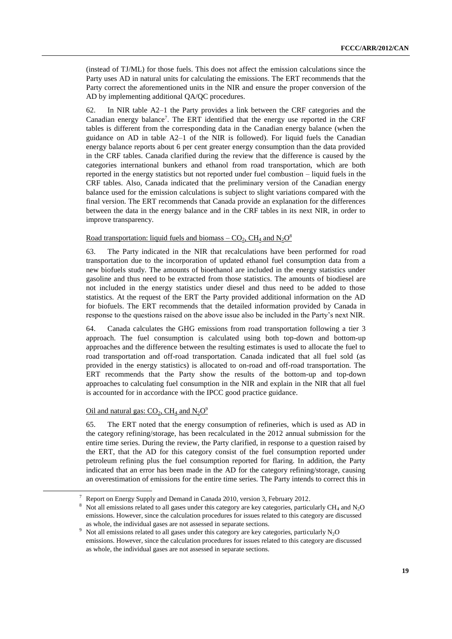(instead of TJ/ML) for those fuels. This does not affect the emission calculations since the Party uses AD in natural units for calculating the emissions. The ERT recommends that the Party correct the aforementioned units in the NIR and ensure the proper conversion of the AD by implementing additional QA/QC procedures.

62. In NIR table A2–1 the Party provides a link between the CRF categories and the Canadian energy balance<sup>7</sup>. The ERT identified that the energy use reported in the CRF tables is different from the corresponding data in the Canadian energy balance (when the guidance on AD in table A2–1 of the NIR is followed). For liquid fuels the Canadian energy balance reports about 6 per cent greater energy consumption than the data provided in the CRF tables. Canada clarified during the review that the difference is caused by the categories international bunkers and ethanol from road transportation, which are both reported in the energy statistics but not reported under fuel combustion – liquid fuels in the CRF tables. Also, Canada indicated that the preliminary version of the Canadian energy balance used for the emission calculations is subject to slight variations compared with the final version. The ERT recommends that Canada provide an explanation for the differences between the data in the energy balance and in the CRF tables in its next NIR, in order to improve transparency.

## <u>Road transportation: liquid fuels and biomass – CO<sub>2</sub>, CH<sub>4</sub> and N<sub>2</sub>O<sup>8</sup></u>

63. The Party indicated in the NIR that recalculations have been performed for road transportation due to the incorporation of updated ethanol fuel consumption data from a new biofuels study. The amounts of bioethanol are included in the energy statistics under gasoline and thus need to be extracted from those statistics. The amounts of biodiesel are not included in the energy statistics under diesel and thus need to be added to those statistics. At the request of the ERT the Party provided additional information on the AD for biofuels. The ERT recommends that the detailed information provided by Canada in response to the questions raised on the above issue also be included in the Party's next NIR.

64. Canada calculates the GHG emissions from road transportation following a tier 3 approach. The fuel consumption is calculated using both top-down and bottom-up approaches and the difference between the resulting estimates is used to allocate the fuel to road transportation and off-road transportation. Canada indicated that all fuel sold (as provided in the energy statistics) is allocated to on-road and off-road transportation. The ERT recommends that the Party show the results of the bottom-up and top-down approaches to calculating fuel consumption in the NIR and explain in the NIR that all fuel is accounted for in accordance with the IPCC good practice guidance.

## Oil and natural gas:  $CO_2$ , CH<sub>4</sub> and N<sub>2</sub>O<sup>9</sup>

1

65. The ERT noted that the energy consumption of refineries, which is used as AD in the category refining/storage, has been recalculated in the 2012 annual submission for the entire time series. During the review, the Party clarified, in response to a question raised by the ERT, that the AD for this category consist of the fuel consumption reported under petroleum refining plus the fuel consumption reported for flaring. In addition, the Party indicated that an error has been made in the AD for the category refining/storage, causing an overestimation of emissions for the entire time series. The Party intends to correct this in

<sup>7</sup> Report on Energy Supply and Demand in Canada 2010, version 3, February 2012.

<sup>8</sup> Not all emissions related to all gases under this category are key categories, particularly CH<sup>4</sup> and N2O emissions. However, since the calculation procedures for issues related to this category are discussed as whole, the individual gases are not assessed in separate sections.

 $9\%$  Not all emissions related to all gases under this category are key categories, particularly N<sub>2</sub>O emissions. However, since the calculation procedures for issues related to this category are discussed as whole, the individual gases are not assessed in separate sections.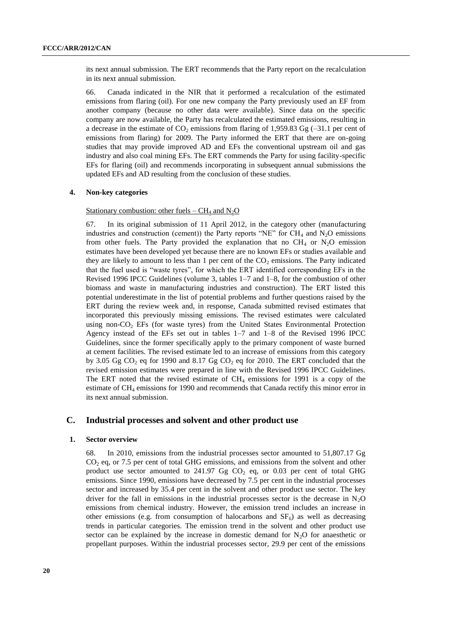its next annual submission. The ERT recommends that the Party report on the recalculation in its next annual submission.

66. Canada indicated in the NIR that it performed a recalculation of the estimated emissions from flaring (oil). For one new company the Party previously used an EF from another company (because no other data were available). Since data on the specific company are now available, the Party has recalculated the estimated emissions, resulting in a decrease in the estimate of  $CO_2$  emissions from flaring of 1,959.83 Gg (-31.1 per cent of emissions from flaring) for 2009. The Party informed the ERT that there are on-going studies that may provide improved AD and EFs the conventional upstream oil and gas industry and also coal mining EFs. The ERT commends the Party for using facility-specific EFs for flaring (oil) and recommends incorporating in subsequent annual submissions the updated EFs and AD resulting from the conclusion of these studies.

#### **4. Non-key categories**

#### Stationary combustion: other fuels –  $CH_4$  and  $N_2O$

67. In its original submission of 11 April 2012, in the category other (manufacturing industries and construction (cement)) the Party reports "NE" for  $CH_4$  and  $N_2O$  emissions from other fuels. The Party provided the explanation that no  $CH_4$  or  $N_2O$  emission estimates have been developed yet because there are no known EFs or studies available and they are likely to amount to less than 1 per cent of the  $CO<sub>2</sub>$  emissions. The Party indicated that the fuel used is "waste tyres", for which the ERT identified corresponding EFs in the Revised 1996 IPCC Guidelines (volume 3, tables 1–7 and 1–8, for the combustion of other biomass and waste in manufacturing industries and construction). The ERT listed this potential underestimate in the list of potential problems and further questions raised by the ERT during the review week and, in response, Canada submitted revised estimates that incorporated this previously missing emissions. The revised estimates were calculated using non- $CO<sub>2</sub>$  EFs (for waste tyres) from the United States Environmental Protection Agency instead of the EFs set out in tables 1–7 and 1–8 of the Revised 1996 IPCC Guidelines, since the former specifically apply to the primary component of waste burned at cement facilities. The revised estimate led to an increase of emissions from this category by 3.05 Gg  $CO_2$  eq for 1990 and 8.17 Gg  $CO_2$  eq for 2010. The ERT concluded that the revised emission estimates were prepared in line with the Revised 1996 IPCC Guidelines. The ERT noted that the revised estimate of  $CH_4$  emissions for 1991 is a copy of the estimate of CH<sup>4</sup> emissions for 1990 and recommends that Canada rectify this minor error in its next annual submission.

## **C. Industrial processes and solvent and other product use**

#### **1. Sector overview**

68. In 2010, emissions from the industrial processes sector amounted to 51,807.17 Gg  $CO<sub>2</sub>$  eq, or 7.5 per cent of total GHG emissions, and emissions from the solvent and other product use sector amounted to  $241.97$  Gg  $CO<sub>2</sub>$  eq, or 0.03 per cent of total GHG emissions. Since 1990, emissions have decreased by 7.5 per cent in the industrial processes sector and increased by 35.4 per cent in the solvent and other product use sector. The key driver for the fall in emissions in the industrial processes sector is the decrease in  $N_2O$ emissions from chemical industry. However, the emission trend includes an increase in other emissions (e.g. from consumption of halocarbons and  $SF<sub>6</sub>$ ) as well as decreasing trends in particular categories. The emission trend in the solvent and other product use sector can be explained by the increase in domestic demand for  $N_2O$  for anaesthetic or propellant purposes. Within the industrial processes sector, 29.9 per cent of the emissions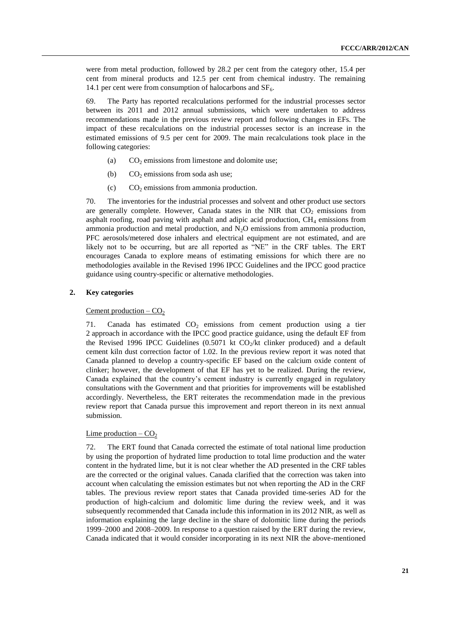were from metal production, followed by 28.2 per cent from the category other, 15.4 per cent from mineral products and 12.5 per cent from chemical industry. The remaining 14.1 per cent were from consumption of halocarbons and  $SF<sub>6</sub>$ .

69. The Party has reported recalculations performed for the industrial processes sector between its 2011 and 2012 annual submissions, which were undertaken to address recommendations made in the previous review report and following changes in EFs. The impact of these recalculations on the industrial processes sector is an increase in the estimated emissions of 9.5 per cent for 2009. The main recalculations took place in the following categories:

- (a)  $CO<sub>2</sub>$  emissions from limestone and dolomite use;
- (b)  $CO<sub>2</sub>$  emissions from soda ash use;
- (c)  $CO<sub>2</sub>$  emissions from ammonia production.

70. The inventories for the industrial processes and solvent and other product use sectors are generally complete. However, Canada states in the NIR that  $CO<sub>2</sub>$  emissions from asphalt roofing, road paving with asphalt and adipic acid production,  $CH<sub>4</sub>$  emissions from ammonia production and metal production, and  $N<sub>2</sub>O$  emissions from ammonia production, PFC aerosols/metered dose inhalers and electrical equipment are not estimated, and are likely not to be occurring, but are all reported as "NE" in the CRF tables. The ERT encourages Canada to explore means of estimating emissions for which there are no methodologies available in the Revised 1996 IPCC Guidelines and the IPCC good practice guidance using country-specific or alternative methodologies.

## **2. Key categories**

## Cement production  $-CO<sub>2</sub>$

71. Canada has estimated  $CO<sub>2</sub>$  emissions from cement production using a tier 2 approach in accordance with the IPCC good practice guidance, using the default EF from the Revised 1996 IPCC Guidelines (0.5071 kt  $CO_2/kt$  clinker produced) and a default cement kiln dust correction factor of 1.02. In the previous review report it was noted that Canada planned to develop a country-specific EF based on the calcium oxide content of clinker; however, the development of that EF has yet to be realized. During the review, Canada explained that the country's cement industry is currently engaged in regulatory consultations with the Government and that priorities for improvements will be established accordingly. Nevertheless, the ERT reiterates the recommendation made in the previous review report that Canada pursue this improvement and report thereon in its next annual submission.

#### <u>Lime</u> production –  $CO<sub>2</sub>$

72. The ERT found that Canada corrected the estimate of total national lime production by using the proportion of hydrated lime production to total lime production and the water content in the hydrated lime, but it is not clear whether the AD presented in the CRF tables are the corrected or the original values. Canada clarified that the correction was taken into account when calculating the emission estimates but not when reporting the AD in the CRF tables. The previous review report states that Canada provided time-series AD for the production of high-calcium and dolomitic lime during the review week, and it was subsequently recommended that Canada include this information in its 2012 NIR, as well as information explaining the large decline in the share of dolomitic lime during the periods 1999–2000 and 2008–2009. In response to a question raised by the ERT during the review, Canada indicated that it would consider incorporating in its next NIR the above-mentioned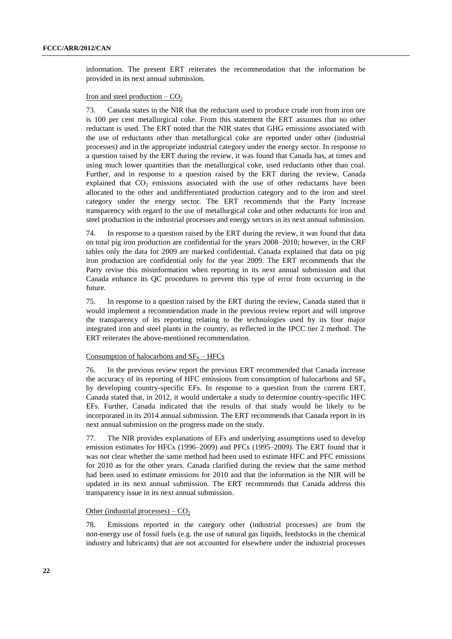information. The present ERT reiterates the recommendation that the information be provided in its next annual submission.

## Iron and steel production  $-CO<sub>2</sub>$

73. Canada states in the NIR that the reductant used to produce crude iron from iron ore is 100 per cent metallurgical coke. From this statement the ERT assumes that no other reductant is used. The ERT noted that the NIR states that GHG emissions associated with the use of reductants other than metallurgical coke are reported under other (industrial processes) and in the appropriate industrial category under the energy sector. In response to a question raised by the ERT during the review, it was found that Canada has, at times and using much lower quantities than the metallurgical coke, used reductants other than coal. Further, and in response to a question raised by the ERT during the review, Canada explained that  $CO<sub>2</sub>$  emissions associated with the use of other reductants have been allocated to the other and undifferentiated production category and to the iron and steel category under the energy sector. The ERT recommends that the Party increase transparency with regard to the use of metallurgical coke and other reductants for iron and steel production in the industrial processes and energy sectors in its next annual submission.

74. In response to a question raised by the ERT during the review, it was found that data on total pig iron production are confidential for the years 2008–2010; however, in the CRF tables only the data for 2009 are marked confidential. Canada explained that data on pig iron production are confidential only for the year 2009. The ERT recommends that the Party revise this misinformation when reporting in its next annual submission and that Canada enhance its QC procedures to prevent this type of error from occurring in the future.

75. In response to a question raised by the ERT during the review, Canada stated that it would implement a recommendation made in the previous review report and will improve the transparency of its reporting relating to the technologies used by its four major integrated iron and steel plants in the country, as reflected in the IPCC tier 2 method. The ERT reiterates the above-mentioned recommendation.

#### Consumption of halocarbons and  $SF_6 - HFCs$

76. In the previous review report the previous ERT recommended that Canada increase the accuracy of its reporting of HFC emissions from consumption of halocarbons and  $SF<sub>6</sub>$ by developing country-specific EFs. In response to a question from the current ERT, Canada stated that, in 2012, it would undertake a study to determine country-specific HFC EFs. Further, Canada indicated that the results of that study would be likely to be incorporated in its 2014 annual submission. The ERT recommends that Canada report in its next annual submission on the progress made on the study.

77. The NIR provides explanations of EFs and underlying assumptions used to develop emission estimates for HFCs (1996–2009) and PFCs (1995–2009). The ERT found that it was not clear whether the same method had been used to estimate HFC and PFC emissions for 2010 as for the other years. Canada clarified during the review that the same method had been used to estimate emissions for 2010 and that the information in the NIR will be updated in its next annual submission. The ERT recommends that Canada address this transparency issue in its next annual submission.

#### Other (industrial processes) –  $CO<sub>2</sub>$

78. Emissions reported in the category other (industrial processes) are from the non-energy use of fossil fuels (e.g. the use of natural gas liquids, feedstocks in the chemical industry and lubricants) that are not accounted for elsewhere under the industrial processes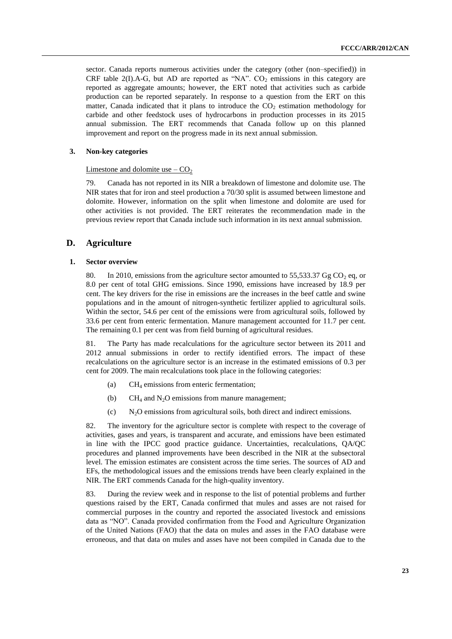sector. Canada reports numerous activities under the category (other (non–specified)) in CRF table 2(I).A-G, but AD are reported as "NA".  $CO<sub>2</sub>$  emissions in this category are reported as aggregate amounts; however, the ERT noted that activities such as carbide production can be reported separately. In response to a question from the ERT on this matter, Canada indicated that it plans to introduce the  $CO<sub>2</sub>$  estimation methodology for carbide and other feedstock uses of hydrocarbons in production processes in its 2015 annual submission. The ERT recommends that Canada follow up on this planned improvement and report on the progress made in its next annual submission.

#### **3. Non-key categories**

#### Limestone and dolomite use  $-$  CO<sub>2</sub>

79. Canada has not reported in its NIR a breakdown of limestone and dolomite use. The NIR states that for iron and steel production a 70/30 split is assumed between limestone and dolomite. However, information on the split when limestone and dolomite are used for other activities is not provided. The ERT reiterates the recommendation made in the previous review report that Canada include such information in its next annual submission.

### **D. Agriculture**

#### **1. Sector overview**

80. In 2010, emissions from the agriculture sector amounted to 55,533.37 Gg  $CO<sub>2</sub>$  eq, or 8.0 per cent of total GHG emissions. Since 1990, emissions have increased by 18.9 per cent. The key drivers for the rise in emissions are the increases in the beef cattle and swine populations and in the amount of nitrogen-synthetic fertilizer applied to agricultural soils. Within the sector, 54.6 per cent of the emissions were from agricultural soils, followed by 33.6 per cent from enteric fermentation. Manure management accounted for 11.7 per cent. The remaining 0.1 per cent was from field burning of agricultural residues.

81. The Party has made recalculations for the agriculture sector between its 2011 and 2012 annual submissions in order to rectify identified errors. The impact of these recalculations on the agriculture sector is an increase in the estimated emissions of 0.3 per cent for 2009. The main recalculations took place in the following categories:

- (a) CH<sup>4</sup> emissions from enteric fermentation;
- (b)  $CH_4$  and N<sub>2</sub>O emissions from manure management;
- (c) N2O emissions from agricultural soils, both direct and indirect emissions.

82. The inventory for the agriculture sector is complete with respect to the coverage of activities, gases and years, is transparent and accurate, and emissions have been estimated in line with the IPCC good practice guidance. Uncertainties, recalculations, QA/QC procedures and planned improvements have been described in the NIR at the subsectoral level. The emission estimates are consistent across the time series. The sources of AD and EFs, the methodological issues and the emissions trends have been clearly explained in the NIR. The ERT commends Canada for the high-quality inventory.

83. During the review week and in response to the list of potential problems and further questions raised by the ERT, Canada confirmed that mules and asses are not raised for commercial purposes in the country and reported the associated livestock and emissions data as "NO". Canada provided confirmation from the Food and Agriculture Organization of the United Nations (FAO) that the data on mules and asses in the FAO database were erroneous, and that data on mules and asses have not been compiled in Canada due to the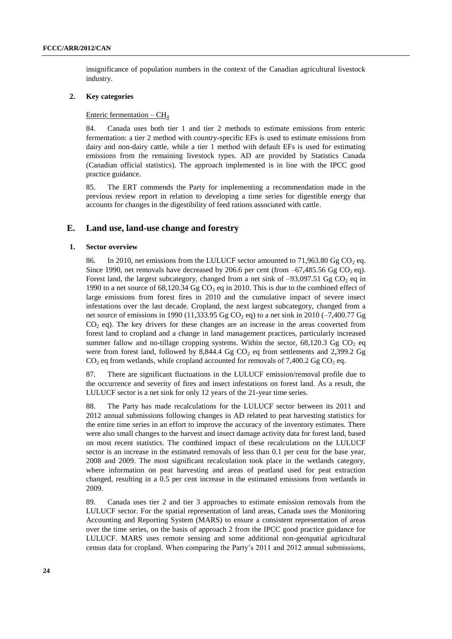insignificance of population numbers in the context of the Canadian agricultural livestock industry.

## **2. Key categories**

## Enteric fermentation  $-$  CH<sub>4</sub>

84. Canada uses both tier 1 and tier 2 methods to estimate emissions from enteric fermentation: a tier 2 method with country-specific EFs is used to estimate emissions from dairy and non-dairy cattle, while a tier 1 method with default EFs is used for estimating emissions from the remaining livestock types. AD are provided by Statistics Canada (Canadian official statistics). The approach implemented is in line with the IPCC good practice guidance.

85. The ERT commends the Party for implementing a recommendation made in the previous review report in relation to developing a time series for digestible energy that accounts for changes in the digestibility of feed rations associated with cattle.

## **E. Land use, land-use change and forestry**

#### **1. Sector overview**

86. In 2010, net emissions from the LULUCF sector amounted to 71,963.80 Gg  $CO<sub>2</sub>$  eq. Since 1990, net removals have decreased by 206.6 per cent (from  $-67,485.56$  Gg CO<sub>2</sub> eq). Forest land, the largest subcategory, changed from a net sink of  $-93,097.51$  Gg CO<sub>2</sub> eq in 1990 to a net source of 68,120.34 Gg CO<sub>2</sub> eq in 2010. This is due to the combined effect of large emissions from forest fires in 2010 and the cumulative impact of severe insect infestations over the last decade. Cropland, the next largest subcategory, changed from a net source of emissions in 1990 (11,333.95 Gg CO<sub>2</sub> eq) to a net sink in 2010 ( $-7,400.77$  Gg  $CO<sub>2</sub>$  eq). The key drivers for these changes are an increase in the areas converted from forest land to cropland and a change in land management practices, particularly increased summer fallow and no-tillage cropping systems. Within the sector,  $68,120.3$  Gg CO<sub>2</sub> eq were from forest land, followed by 8,844.4 Gg  $CO<sub>2</sub>$  eq from settlements and 2,399.2 Gg  $CO<sub>2</sub>$  eq from wetlands, while cropland accounted for removals of 7,400.2 Gg  $CO<sub>2</sub>$  eq.

87. There are significant fluctuations in the LULUCF emission/removal profile due to the occurrence and severity of fires and insect infestations on forest land. As a result, the LULUCF sector is a net sink for only 12 years of the 21-year time series.

88. The Party has made recalculations for the LULUCF sector between its 2011 and 2012 annual submissions following changes in AD related to peat harvesting statistics for the entire time series in an effort to improve the accuracy of the inventory estimates. There were also small changes to the harvest and insect damage activity data for forest land, based on most recent statistics. The combined impact of these recalculations on the LULUCF sector is an increase in the estimated removals of less than 0.1 per cent for the base year, 2008 and 2009. The most significant recalculation took place in the wetlands category, where information on peat harvesting and areas of peatland used for peat extraction changed, resulting in a 0.5 per cent increase in the estimated emissions from wetlands in 2009.

89. Canada uses tier 2 and tier 3 approaches to estimate emission removals from the LULUCF sector. For the spatial representation of land areas, Canada uses the Monitoring Accounting and Reporting System (MARS) to ensure a consistent representation of areas over the time series, on the basis of approach 2 from the IPCC good practice guidance for LULUCF. MARS uses remote sensing and some additional non-geospatial agricultural census data for cropland. When comparing the Party's 2011 and 2012 annual submissions,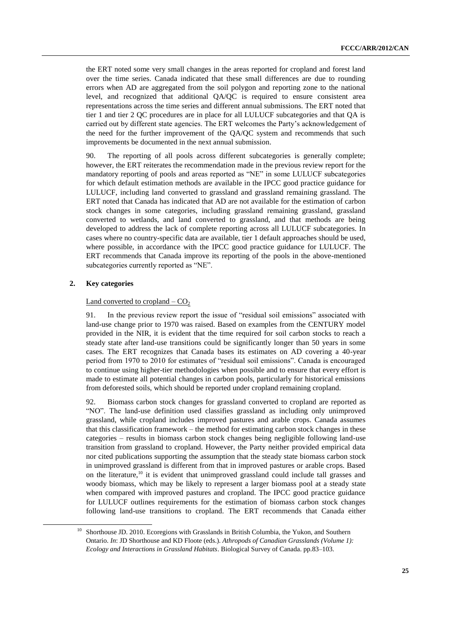the ERT noted some very small changes in the areas reported for cropland and forest land over the time series. Canada indicated that these small differences are due to rounding errors when AD are aggregated from the soil polygon and reporting zone to the national level, and recognized that additional QA/QC is required to ensure consistent area representations across the time series and different annual submissions. The ERT noted that tier 1 and tier 2 QC procedures are in place for all LULUCF subcategories and that QA is carried out by different state agencies. The ERT welcomes the Party's acknowledgement of the need for the further improvement of the QA/QC system and recommends that such improvements be documented in the next annual submission.

90. The reporting of all pools across different subcategories is generally complete; however, the ERT reiterates the recommendation made in the previous review report for the mandatory reporting of pools and areas reported as "NE" in some LULUCF subcategories for which default estimation methods are available in the IPCC good practice guidance for LULUCF, including land converted to grassland and grassland remaining grassland. The ERT noted that Canada has indicated that AD are not available for the estimation of carbon stock changes in some categories, including grassland remaining grassland, grassland converted to wetlands, and land converted to grassland, and that methods are being developed to address the lack of complete reporting across all LULUCF subcategories. In cases where no country-specific data are available, tier 1 default approaches should be used, where possible, in accordance with the IPCC good practice guidance for LULUCF. The ERT recommends that Canada improve its reporting of the pools in the above-mentioned subcategories currently reported as "NE".

## **2. Key categories**

1

## Land converted to cropland  $-$  CO<sub>2</sub>

91. In the previous review report the issue of "residual soil emissions" associated with land-use change prior to 1970 was raised. Based on examples from the CENTURY model provided in the NIR, it is evident that the time required for soil carbon stocks to reach a steady state after land-use transitions could be significantly longer than 50 years in some cases. The ERT recognizes that Canada bases its estimates on AD covering a 40-year period from 1970 to 2010 for estimates of "residual soil emissions". Canada is encouraged to continue using higher-tier methodologies when possible and to ensure that every effort is made to estimate all potential changes in carbon pools, particularly for historical emissions from deforested soils, which should be reported under cropland remaining cropland.

92. Biomass carbon stock changes for grassland converted to cropland are reported as "NO". The land-use definition used classifies grassland as including only unimproved grassland, while cropland includes improved pastures and arable crops. Canada assumes that this classification framework – the method for estimating carbon stock changes in these categories – results in biomass carbon stock changes being negligible following land-use transition from grassland to cropland. However, the Party neither provided empirical data nor cited publications supporting the assumption that the steady state biomass carbon stock in unimproved grassland is different from that in improved pastures or arable crops. Based on the literature, $10$  it is evident that unimproved grassland could include tall grasses and woody biomass, which may be likely to represent a larger biomass pool at a steady state when compared with improved pastures and cropland. The IPCC good practice guidance for LULUCF outlines requirements for the estimation of biomass carbon stock changes following land-use transitions to cropland. The ERT recommends that Canada either

<sup>10</sup> Shorthouse JD. 2010. Ecoregions with Grasslands in British Columbia, the Yukon, and Southern Ontario. *In*: JD Shorthouse and KD Floote (eds.). *Athropods of Canadian Grasslands (Volume 1): Ecology and Interactions in Grassland Habitats*. Biological Survey of Canada. pp.83–103.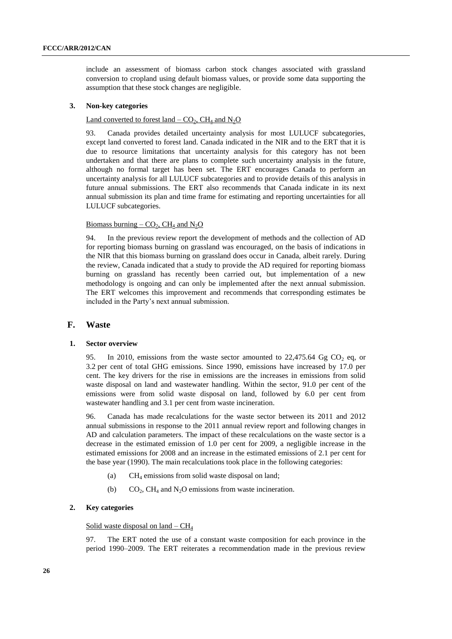include an assessment of biomass carbon stock changes associated with grassland conversion to cropland using default biomass values, or provide some data supporting the assumption that these stock changes are negligible.

#### **3. Non-key categories**

### Land converted to forest land  $-$  CO<sub>2</sub>, CH<sub>4</sub> and N<sub>2</sub>O

93. Canada provides detailed uncertainty analysis for most LULUCF subcategories, except land converted to forest land. Canada indicated in the NIR and to the ERT that it is due to resource limitations that uncertainty analysis for this category has not been undertaken and that there are plans to complete such uncertainty analysis in the future, although no formal target has been set. The ERT encourages Canada to perform an uncertainty analysis for all LULUCF subcategories and to provide details of this analysis in future annual submissions. The ERT also recommends that Canada indicate in its next annual submission its plan and time frame for estimating and reporting uncertainties for all LULUCF subcategories.

### Biomass burning –  $CO<sub>2</sub>$ , CH<sub>4</sub> and N<sub>2</sub>O

94. In the previous review report the development of methods and the collection of AD for reporting biomass burning on grassland was encouraged, on the basis of indications in the NIR that this biomass burning on grassland does occur in Canada, albeit rarely. During the review, Canada indicated that a study to provide the AD required for reporting biomass burning on grassland has recently been carried out, but implementation of a new methodology is ongoing and can only be implemented after the next annual submission. The ERT welcomes this improvement and recommends that corresponding estimates be included in the Party's next annual submission.

## **F. Waste**

### **1. Sector overview**

95. In 2010, emissions from the waste sector amounted to 22,475.64 Gg  $CO<sub>2</sub>$  eq, or 3.2 per cent of total GHG emissions. Since 1990, emissions have increased by 17.0 per cent. The key drivers for the rise in emissions are the increases in emissions from solid waste disposal on land and wastewater handling. Within the sector, 91.0 per cent of the emissions were from solid waste disposal on land, followed by 6.0 per cent from wastewater handling and 3.1 per cent from waste incineration.

96. Canada has made recalculations for the waste sector between its 2011 and 2012 annual submissions in response to the 2011 annual review report and following changes in AD and calculation parameters. The impact of these recalculations on the waste sector is a decrease in the estimated emission of 1.0 per cent for 2009, a negligible increase in the estimated emissions for 2008 and an increase in the estimated emissions of 2.1 per cent for the base year (1990). The main recalculations took place in the following categories:

- (a)  $CH_4$  emissions from solid waste disposal on land;
- (b)  $CO_2$ , CH<sub>4</sub> and N<sub>2</sub>O emissions from waste incineration.

### **2. Key categories**

### Solid waste disposal on land  $-$  CH<sub>4</sub>

97. The ERT noted the use of a constant waste composition for each province in the period 1990–2009. The ERT reiterates a recommendation made in the previous review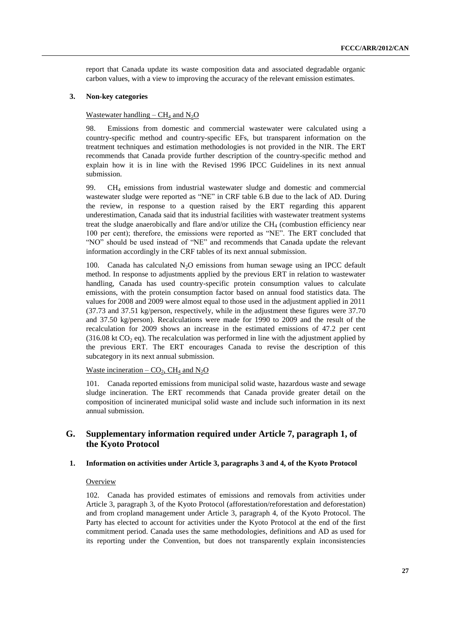report that Canada update its waste composition data and associated degradable organic carbon values, with a view to improving the accuracy of the relevant emission estimates.

## **3. Non-key categories**

#### Wastewater handling –  $CH_4$  and  $N_2O$

98. Emissions from domestic and commercial wastewater were calculated using a country-specific method and country-specific EFs, but transparent information on the treatment techniques and estimation methodologies is not provided in the NIR. The ERT recommends that Canada provide further description of the country-specific method and explain how it is in line with the Revised 1996 IPCC Guidelines in its next annual submission.

99.  $CH<sub>4</sub>$  emissions from industrial wastewater sludge and domestic and commercial wastewater sludge were reported as "NE" in CRF table 6.B due to the lack of AD. During the review, in response to a question raised by the ERT regarding this apparent underestimation, Canada said that its industrial facilities with wastewater treatment systems treat the sludge anaerobically and flare and/or utilize the  $CH<sub>4</sub>$  (combustion efficiency near 100 per cent); therefore, the emissions were reported as "NE". The ERT concluded that "NO" should be used instead of "NE" and recommends that Canada update the relevant information accordingly in the CRF tables of its next annual submission.

100. Canada has calculated  $N_2O$  emissions from human sewage using an IPCC default method. In response to adjustments applied by the previous ERT in relation to wastewater handling, Canada has used country-specific protein consumption values to calculate emissions, with the protein consumption factor based on annual food statistics data. The values for 2008 and 2009 were almost equal to those used in the adjustment applied in 2011 (37.73 and 37.51 kg/person, respectively, while in the adjustment these figures were 37.70 and 37.50 kg/person). Recalculations were made for 1990 to 2009 and the result of the recalculation for 2009 shows an increase in the estimated emissions of 47.2 per cent (316.08 kt  $CO<sub>2</sub>$  eq). The recalculation was performed in line with the adjustment applied by the previous ERT. The ERT encourages Canada to revise the description of this subcategory in its next annual submission.

Waste incineration –  $CO_2$ , CH<sub>4</sub> and N<sub>2</sub>O

101. Canada reported emissions from municipal solid waste, hazardous waste and sewage sludge incineration. The ERT recommends that Canada provide greater detail on the composition of incinerated municipal solid waste and include such information in its next annual submission.

## **G. Supplementary information required under Article 7, paragraph 1, of the Kyoto Protocol**

#### **1. Information on activities under Article 3, paragraphs 3 and 4, of the Kyoto Protocol**

## **Overview**

102. Canada has provided estimates of emissions and removals from activities under Article 3, paragraph 3, of the Kyoto Protocol (afforestation/reforestation and deforestation) and from cropland management under Article 3, paragraph 4, of the Kyoto Protocol. The Party has elected to account for activities under the Kyoto Protocol at the end of the first commitment period. Canada uses the same methodologies, definitions and AD as used for its reporting under the Convention, but does not transparently explain inconsistencies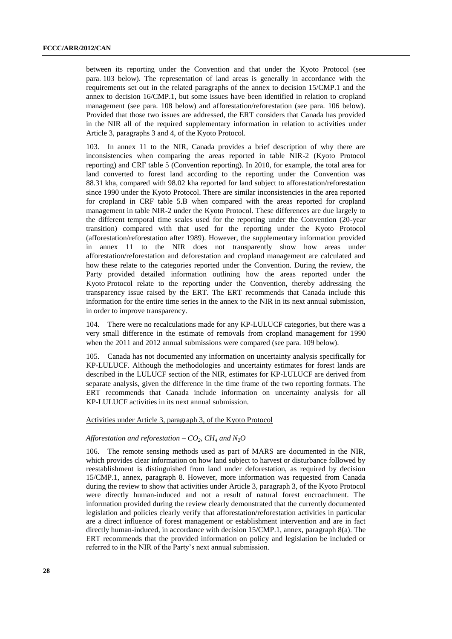between its reporting under the Convention and that under the Kyoto Protocol (see para. 103 below). The representation of land areas is generally in accordance with the requirements set out in the related paragraphs of the annex to decision 15/CMP.1 and the annex to decision 16/CMP.1, but some issues have been identified in relation to cropland management (see para. 108 below) and afforestation/reforestation (see para. 106 below). Provided that those two issues are addressed, the ERT considers that Canada has provided in the NIR all of the required supplementary information in relation to activities under Article 3, paragraphs 3 and 4, of the Kyoto Protocol.

103. In annex 11 to the NIR, Canada provides a brief description of why there are inconsistencies when comparing the areas reported in table NIR-2 (Kyoto Protocol reporting) and CRF table 5 (Convention reporting). In 2010, for example, the total area for land converted to forest land according to the reporting under the Convention was 88.31 kha, compared with 98.02 kha reported for land subject to afforestation/reforestation since 1990 under the Kyoto Protocol. There are similar inconsistencies in the area reported for cropland in CRF table 5.B when compared with the areas reported for cropland management in table NIR-2 under the Kyoto Protocol. These differences are due largely to the different temporal time scales used for the reporting under the Convention (20-year transition) compared with that used for the reporting under the Kyoto Protocol (afforestation/reforestation after 1989). However, the supplementary information provided in annex 11 to the NIR does not transparently show how areas under afforestation/reforestation and deforestation and cropland management are calculated and how these relate to the categories reported under the Convention. During the review, the Party provided detailed information outlining how the areas reported under the Kyoto Protocol relate to the reporting under the Convention, thereby addressing the transparency issue raised by the ERT. The ERT recommends that Canada include this information for the entire time series in the annex to the NIR in its next annual submission, in order to improve transparency.

104. There were no recalculations made for any KP-LULUCF categories, but there was a very small difference in the estimate of removals from cropland management for 1990 when the 2011 and 2012 annual submissions were compared (see para. 109 below).

105. Canada has not documented any information on uncertainty analysis specifically for KP-LULUCF. Although the methodologies and uncertainty estimates for forest lands are described in the LULUCF section of the NIR, estimates for KP-LULUCF are derived from separate analysis, given the difference in the time frame of the two reporting formats. The ERT recommends that Canada include information on uncertainty analysis for all KP-LULUCF activities in its next annual submission.

## Activities under Article 3, paragraph 3, of the Kyoto Protocol

#### *Afforestation and reforestation –*  $CO_2$ *,*  $CH_4$  *and*  $N_2O$

106. The remote sensing methods used as part of MARS are documented in the NIR, which provides clear information on how land subject to harvest or disturbance followed by reestablishment is distinguished from land under deforestation, as required by decision 15/CMP.1, annex, paragraph 8. However, more information was requested from Canada during the review to show that activities under Article 3, paragraph 3, of the Kyoto Protocol were directly human-induced and not a result of natural forest encroachment. The information provided during the review clearly demonstrated that the currently documented legislation and policies clearly verify that afforestation/reforestation activities in particular are a direct influence of forest management or establishment intervention and are in fact directly human-induced, in accordance with decision 15/CMP.1, annex, paragraph 8(a). The ERT recommends that the provided information on policy and legislation be included or referred to in the NIR of the Party's next annual submission.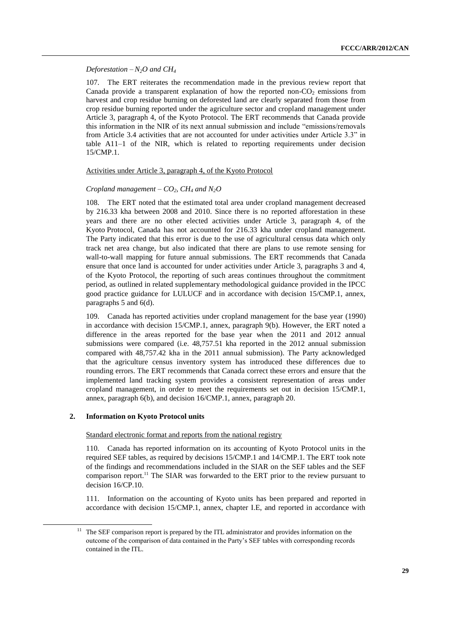## *Deforestation*  $-N_2O$  *and CH<sub>4</sub>*

107. The ERT reiterates the recommendation made in the previous review report that Canada provide a transparent explanation of how the reported non- $CO<sub>2</sub>$  emissions from harvest and crop residue burning on deforested land are clearly separated from those from crop residue burning reported under the agriculture sector and cropland management under Article 3, paragraph 4, of the Kyoto Protocol. The ERT recommends that Canada provide this information in the NIR of its next annual submission and include "emissions/removals from Article 3.4 activities that are not accounted for under activities under Article 3.3" in table A11–1 of the NIR, which is related to reporting requirements under decision 15/CMP.1.

### Activities under Article 3, paragraph 4, of the Kyoto Protocol

## *Cropland management* –  $CO_2$ *, CH<sub>4</sub> and N<sub>2</sub>O*

108. The ERT noted that the estimated total area under cropland management decreased by 216.33 kha between 2008 and 2010. Since there is no reported afforestation in these years and there are no other elected activities under Article 3, paragraph 4, of the Kyoto Protocol, Canada has not accounted for 216.33 kha under cropland management. The Party indicated that this error is due to the use of agricultural census data which only track net area change, but also indicated that there are plans to use remote sensing for wall-to-wall mapping for future annual submissions. The ERT recommends that Canada ensure that once land is accounted for under activities under Article 3, paragraphs 3 and 4, of the Kyoto Protocol, the reporting of such areas continues throughout the commitment period, as outlined in related supplementary methodological guidance provided in the IPCC good practice guidance for LULUCF and in accordance with decision 15/CMP.1, annex, paragraphs 5 and 6(d).

109. Canada has reported activities under cropland management for the base year (1990) in accordance with decision 15/CMP.1, annex, paragraph 9(b). However, the ERT noted a difference in the areas reported for the base year when the 2011 and 2012 annual submissions were compared (i.e. 48,757.51 kha reported in the 2012 annual submission compared with 48,757.42 kha in the 2011 annual submission). The Party acknowledged that the agriculture census inventory system has introduced these differences due to rounding errors. The ERT recommends that Canada correct these errors and ensure that the implemented land tracking system provides a consistent representation of areas under cropland management, in order to meet the requirements set out in decision 15/CMP.1, annex, paragraph 6(b), and decision 16/CMP.1, annex, paragraph 20.

#### **2. Information on Kyoto Protocol units**

1

#### Standard electronic format and reports from the national registry

110. Canada has reported information on its accounting of Kyoto Protocol units in the required SEF tables, as required by decisions 15/CMP.1 and 14/CMP.1. The ERT took note of the findings and recommendations included in the SIAR on the SEF tables and the SEF comparison report.<sup>11</sup> The SIAR was forwarded to the ERT prior to the review pursuant to decision 16/CP.10.

111. Information on the accounting of Kyoto units has been prepared and reported in accordance with decision 15/CMP.1, annex, chapter I.E, and reported in accordance with

<sup>&</sup>lt;sup>11</sup> The SEF comparison report is prepared by the ITL administrator and provides information on the outcome of the comparison of data contained in the Party's SEF tables with corresponding records contained in the ITL.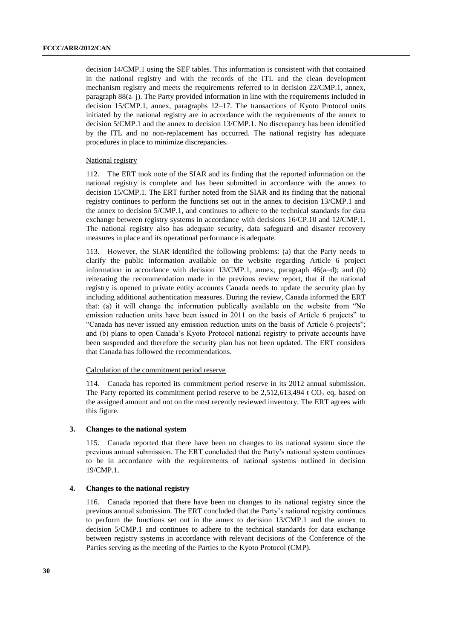decision 14/CMP.1 using the SEF tables. This information is consistent with that contained in the national registry and with the records of the ITL and the clean development mechanism registry and meets the requirements referred to in decision 22/CMP.1, annex, paragraph 88(a–j). The Party provided information in line with the requirements included in decision 15/CMP.1, annex, paragraphs 12–17. The transactions of Kyoto Protocol units initiated by the national registry are in accordance with the requirements of the annex to decision 5/CMP.1 and the annex to decision 13/CMP.1. No discrepancy has been identified by the ITL and no non-replacement has occurred. The national registry has adequate procedures in place to minimize discrepancies.

### National registry

112. The ERT took note of the SIAR and its finding that the reported information on the national registry is complete and has been submitted in accordance with the annex to decision 15/CMP.1. The ERT further noted from the SIAR and its finding that the national registry continues to perform the functions set out in the annex to decision 13/CMP.1 and the annex to decision 5/CMP.1, and continues to adhere to the technical standards for data exchange between registry systems in accordance with decisions 16/CP.10 and 12/CMP.1. The national registry also has adequate security, data safeguard and disaster recovery measures in place and its operational performance is adequate.

113. However, the SIAR identified the following problems: (a) that the Party needs to clarify the public information available on the website regarding Article 6 project information in accordance with decision 13/CMP.1, annex, paragraph 46(a–d); and (b) reiterating the recommendation made in the previous review report, that if the national registry is opened to private entity accounts Canada needs to update the security plan by including additional authentication measures. During the review, Canada informed the ERT that: (a) it will change the information publically available on the website from "No emission reduction units have been issued in 2011 on the basis of Article 6 projects" to "Canada has never issued any emission reduction units on the basis of Article 6 projects"; and (b) plans to open Canada's Kyoto Protocol national registry to private accounts have been suspended and therefore the security plan has not been updated. The ERT considers that Canada has followed the recommendations.

### Calculation of the commitment period reserve

114. Canada has reported its commitment period reserve in its 2012 annual submission. The Party reported its commitment period reserve to be  $2{,}512{,}613{,}494$  t CO<sub>2</sub> eq, based on the assigned amount and not on the most recently reviewed inventory. The ERT agrees with this figure.

#### **3. Changes to the national system**

115. Canada reported that there have been no changes to its national system since the previous annual submission. The ERT concluded that the Party's national system continues to be in accordance with the requirements of national systems outlined in decision 19/CMP.1.

## **4. Changes to the national registry**

116. Canada reported that there have been no changes to its national registry since the previous annual submission. The ERT concluded that the Party's national registry continues to perform the functions set out in the annex to decision 13/CMP.1 and the annex to decision 5/CMP.1 and continues to adhere to the technical standards for data exchange between registry systems in accordance with relevant decisions of the Conference of the Parties serving as the meeting of the Parties to the Kyoto Protocol (CMP).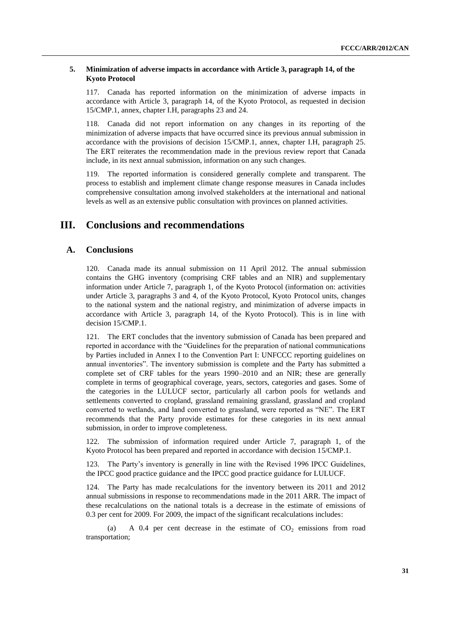## **5. Minimization of adverse impacts in accordance with Article 3, paragraph 14, of the Kyoto Protocol**

117. Canada has reported information on the minimization of adverse impacts in accordance with Article 3, paragraph 14, of the Kyoto Protocol, as requested in decision 15/CMP.1, annex, chapter I.H, paragraphs 23 and 24.

118. Canada did not report information on any changes in its reporting of the minimization of adverse impacts that have occurred since its previous annual submission in accordance with the provisions of decision 15/CMP.1, annex, chapter I.H, paragraph 25. The ERT reiterates the recommendation made in the previous review report that Canada include, in its next annual submission, information on any such changes.

119. The reported information is considered generally complete and transparent. The process to establish and implement climate change response measures in Canada includes comprehensive consultation among involved stakeholders at the international and national levels as well as an extensive public consultation with provinces on planned activities.

## **III. Conclusions and recommendations**

## **A. Conclusions**

120. Canada made its annual submission on 11 April 2012. The annual submission contains the GHG inventory (comprising CRF tables and an NIR) and supplementary information under Article 7, paragraph 1, of the Kyoto Protocol (information on: activities under Article 3, paragraphs 3 and 4, of the Kyoto Protocol, Kyoto Protocol units, changes to the national system and the national registry, and minimization of adverse impacts in accordance with Article 3, paragraph 14, of the Kyoto Protocol). This is in line with decision 15/CMP.1.

121. The ERT concludes that the inventory submission of Canada has been prepared and reported in accordance with the "Guidelines for the preparation of national communications by Parties included in Annex I to the Convention Part I: UNFCCC reporting guidelines on annual inventories". The inventory submission is complete and the Party has submitted a complete set of CRF tables for the years 1990–2010 and an NIR; these are generally complete in terms of geographical coverage, years, sectors, categories and gases. Some of the categories in the LULUCF sector, particularly all carbon pools for wetlands and settlements converted to cropland, grassland remaining grassland, grassland and cropland converted to wetlands, and land converted to grassland, were reported as "NE". The ERT recommends that the Party provide estimates for these categories in its next annual submission, in order to improve completeness.

122. The submission of information required under Article 7, paragraph 1, of the Kyoto Protocol has been prepared and reported in accordance with decision 15/CMP.1.

123. The Party's inventory is generally in line with the Revised 1996 IPCC Guidelines, the IPCC good practice guidance and the IPCC good practice guidance for LULUCF.

124. The Party has made recalculations for the inventory between its 2011 and 2012 annual submissions in response to recommendations made in the 2011 ARR. The impact of these recalculations on the national totals is a decrease in the estimate of emissions of 0.3 per cent for 2009. For 2009, the impact of the significant recalculations includes:

(a) A 0.4 per cent decrease in the estimate of  $CO<sub>2</sub>$  emissions from road transportation;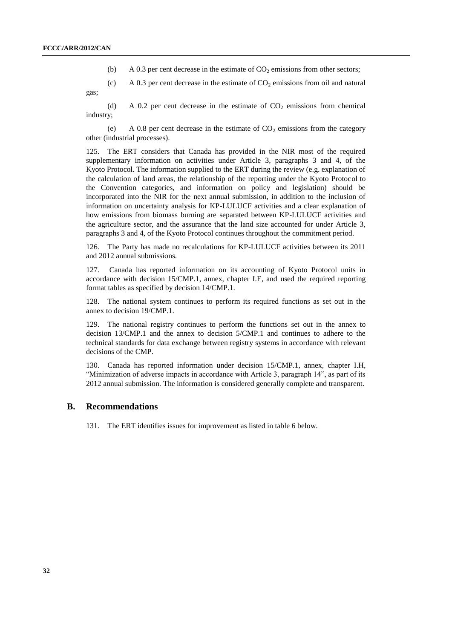gas;

- (b) A 0.3 per cent decrease in the estimate of  $CO<sub>2</sub>$  emissions from other sectors;
- (c) A 0.3 per cent decrease in the estimate of  $CO<sub>2</sub>$  emissions from oil and natural

(d) A 0.2 per cent decrease in the estimate of  $CO<sub>2</sub>$  emissions from chemical industry;

(e) A 0.8 per cent decrease in the estimate of  $CO<sub>2</sub>$  emissions from the category other (industrial processes).

125. The ERT considers that Canada has provided in the NIR most of the required supplementary information on activities under Article 3, paragraphs 3 and 4, of the Kyoto Protocol. The information supplied to the ERT during the review (e.g. explanation of the calculation of land areas, the relationship of the reporting under the Kyoto Protocol to the Convention categories, and information on policy and legislation) should be incorporated into the NIR for the next annual submission, in addition to the inclusion of information on uncertainty analysis for KP-LULUCF activities and a clear explanation of how emissions from biomass burning are separated between KP-LULUCF activities and the agriculture sector, and the assurance that the land size accounted for under Article 3, paragraphs 3 and 4, of the Kyoto Protocol continues throughout the commitment period.

126. The Party has made no recalculations for KP-LULUCF activities between its 2011 and 2012 annual submissions.

127. Canada has reported information on its accounting of Kyoto Protocol units in accordance with decision 15/CMP.1, annex, chapter I.E, and used the required reporting format tables as specified by decision 14/CMP.1.

128. The national system continues to perform its required functions as set out in the annex to decision 19/CMP.1.

129. The national registry continues to perform the functions set out in the annex to decision 13/CMP.1 and the annex to decision 5/CMP.1 and continues to adhere to the technical standards for data exchange between registry systems in accordance with relevant decisions of the CMP.

130. Canada has reported information under decision 15/CMP.1, annex, chapter I.H, "Minimization of adverse impacts in accordance with Article 3, paragraph 14", as part of its 2012 annual submission. The information is considered generally complete and transparent.

## **B. Recommendations**

131. The ERT identifies issues for improvement as listed in table 6 below.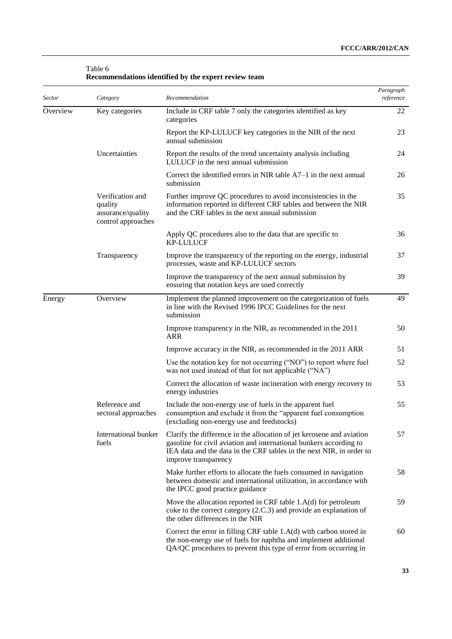| Sector   | Category                                                               | Recommendation                                                                                                                                                                                                                              | Paragraph<br>reference |
|----------|------------------------------------------------------------------------|---------------------------------------------------------------------------------------------------------------------------------------------------------------------------------------------------------------------------------------------|------------------------|
| Overview | Key categories                                                         | Include in CRF table 7 only the categories identified as key<br>categories                                                                                                                                                                  | 22                     |
|          |                                                                        | Report the KP-LULUCF key categories in the NIR of the next<br>annual submission                                                                                                                                                             | 23                     |
|          | Uncertainties                                                          | Report the results of the trend uncertainty analysis including<br>LULUCF in the next annual submission                                                                                                                                      | 24                     |
|          |                                                                        | Correct the identified errors in NIR table $A7-1$ in the next annual<br>submission                                                                                                                                                          | 26                     |
|          | Verification and<br>quality<br>assurance/quality<br>control approaches | Further improve QC procedures to avoid inconsistencies in the<br>information reported in different CRF tables and between the NIR<br>and the CRF tables in the next annual submission                                                       | 35                     |
|          |                                                                        | Apply QC procedures also to the data that are specific to<br><b>KP-LULUCF</b>                                                                                                                                                               | 36                     |
|          | Transparency                                                           | Improve the transparency of the reporting on the energy, industrial<br>processes, waste and KP-LULUCF sectors                                                                                                                               | 37                     |
|          |                                                                        | Improve the transparency of the next annual submission by<br>ensuring that notation keys are used correctly                                                                                                                                 | 39                     |
| Energy   | Overview                                                               | Implement the planned improvement on the categorization of fuels<br>in line with the Revised 1996 IPCC Guidelines for the next<br>submission                                                                                                | 49                     |
|          |                                                                        | Improve transparency in the NIR, as recommended in the 2011<br>ARR                                                                                                                                                                          | 50                     |
|          |                                                                        | Improve accuracy in the NIR, as recommended in the 2011 ARR                                                                                                                                                                                 | 51                     |
|          |                                                                        | Use the notation key for not occurring ("NO") to report where fuel<br>was not used instead of that for not applicable ("NA")                                                                                                                | 52                     |
|          |                                                                        | Correct the allocation of waste incineration with energy recovery to<br>energy industries                                                                                                                                                   | 53                     |
|          | Reference and<br>sectoral approaches                                   | Include the non-energy use of fuels in the apparent fuel<br>consumption and exclude it from the "apparent fuel consumption<br>(excluding non-energy use and feedstocks)                                                                     | 55                     |
|          | International bunker<br>fuels                                          | Clarify the difference in the allocation of jet kerosene and aviation<br>gasoline for civil aviation and international bunkers according to<br>IEA data and the data in the CRF tables in the next NIR, in order to<br>improve transparency | 57                     |
|          |                                                                        | Make further efforts to allocate the fuels consumed in navigation<br>between domestic and international utilization, in accordance with<br>the IPCC good practice guidance                                                                  | 58                     |
|          |                                                                        | Move the allocation reported in CRF table $1.A(d)$ for petroleum<br>coke to the correct category (2.C.3) and provide an explanation of<br>the other differences in the NIR                                                                  | 59                     |
|          |                                                                        | Correct the error in filling CRF table 1.A(d) with carbon stored in<br>the non-energy use of fuels for naphtha and implement additional<br>QA/QC procedures to prevent this type of error from occurring in                                 | 60                     |

## Table 6 **Recommendations identified by the expert review team**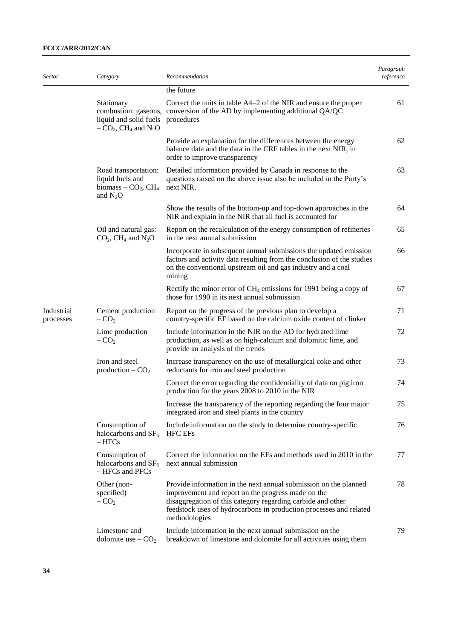| Sector                  | Category                                                                                                | Recommendation                                                                                                                                                                                                                                                               | Paragraph<br>reference |
|-------------------------|---------------------------------------------------------------------------------------------------------|------------------------------------------------------------------------------------------------------------------------------------------------------------------------------------------------------------------------------------------------------------------------------|------------------------|
|                         |                                                                                                         | the future                                                                                                                                                                                                                                                                   |                        |
|                         | Stationary<br>liquid and solid fuels<br>$-CO_2$ , CH <sub>4</sub> and N <sub>2</sub> O                  | Correct the units in table A4–2 of the NIR and ensure the proper<br>combustion: gaseous, conversion of the AD by implementing additional QA/QC<br>procedures                                                                                                                 | 61                     |
|                         |                                                                                                         | Provide an explanation for the differences between the energy<br>balance data and the data in the CRF tables in the next NIR, in<br>order to improve transparency                                                                                                            | 62                     |
|                         | Road transportation:<br>liquid fuels and<br>biomass $-$ CO <sub>2</sub> , CH <sub>4</sub><br>and $N_2O$ | Detailed information provided by Canada in response to the<br>questions raised on the above issue also be included in the Party's<br>next NIR.                                                                                                                               | 63                     |
|                         |                                                                                                         | Show the results of the bottom-up and top-down approaches in the<br>NIR and explain in the NIR that all fuel is accounted for                                                                                                                                                | 64                     |
|                         | Oil and natural gas:<br>$CO2$ , CH <sub>4</sub> and N <sub>2</sub> O                                    | Report on the recalculation of the energy consumption of refineries<br>in the next annual submission                                                                                                                                                                         | 65                     |
|                         |                                                                                                         | Incorporate in subsequent annual submissions the updated emission<br>factors and activity data resulting from the conclusion of the studies<br>on the conventional upstream oil and gas industry and a coal<br>mining                                                        | 66                     |
|                         |                                                                                                         | Rectify the minor error of $CH_4$ emissions for 1991 being a copy of<br>those for 1990 in its next annual submission                                                                                                                                                         | 67                     |
| Industrial<br>processes | Cement production<br>$-CO2$                                                                             | Report on the progress of the previous plan to develop a<br>country-specific EF based on the calcium oxide content of clinker                                                                                                                                                | 71                     |
|                         | Lime production<br>$-CO2$                                                                               | Include information in the NIR on the AD for hydrated lime<br>production, as well as on high-calcium and dolomitic lime, and<br>provide an analysis of the trends                                                                                                            | 72                     |
|                         | Iron and steel<br>production $-CO2$                                                                     | Increase transparency on the use of metallurgical coke and other<br>reductants for iron and steel production                                                                                                                                                                 | 73                     |
|                         |                                                                                                         | Correct the error regarding the confidentiality of data on pig iron<br>production for the years 2008 to 2010 in the NIR                                                                                                                                                      | 74                     |
|                         |                                                                                                         | Increase the transparency of the reporting regarding the four major<br>integrated iron and steel plants in the country                                                                                                                                                       | 75                     |
|                         | Consumption of<br>halocarbons and $SF6$<br>$-$ HFCs                                                     | Include information on the study to determine country-specific<br><b>HFC EFs</b>                                                                                                                                                                                             | 76                     |
|                         | Consumption of<br>halocarbons and $SF6$<br>- HFCs and PFCs                                              | Correct the information on the EFs and methods used in 2010 in the<br>next annual submission                                                                                                                                                                                 | 77                     |
|                         | Other (non-<br>specified)<br>$-CO2$                                                                     | Provide information in the next annual submission on the planned<br>improvement and report on the progress made on the<br>disaggregation of this category regarding carbide and other<br>feedstock uses of hydrocarbons in production processes and related<br>methodologies | 78                     |
|                         | Limestone and<br>dolomite use $-CO2$                                                                    | Include information in the next annual submission on the<br>breakdown of limestone and dolomite for all activities using them                                                                                                                                                | 79                     |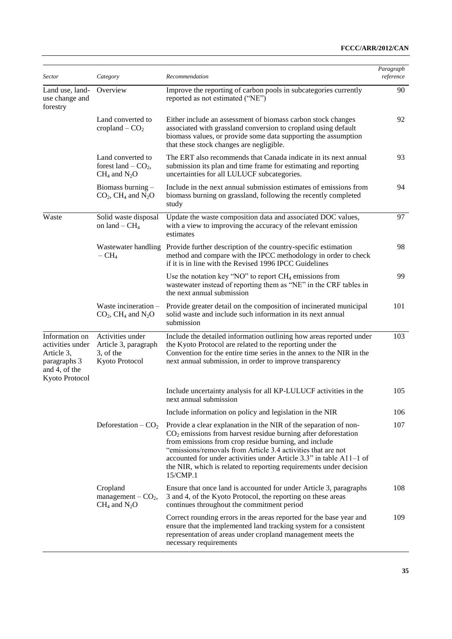| <b>Sector</b>                                                                                       | Category                                                                    | Recommendation                                                                                                                                                                                                                                                                                                                                                                                                         | Paragraph<br>reference |
|-----------------------------------------------------------------------------------------------------|-----------------------------------------------------------------------------|------------------------------------------------------------------------------------------------------------------------------------------------------------------------------------------------------------------------------------------------------------------------------------------------------------------------------------------------------------------------------------------------------------------------|------------------------|
| Land use, land-<br>use change and<br>forestry                                                       | Overview                                                                    | Improve the reporting of carbon pools in subcategories currently<br>reported as not estimated ("NE")                                                                                                                                                                                                                                                                                                                   | 90                     |
|                                                                                                     | Land converted to<br>cropland $-$ CO <sub>2</sub>                           | Either include an assessment of biomass carbon stock changes<br>associated with grassland conversion to cropland using default<br>biomass values, or provide some data supporting the assumption<br>that these stock changes are negligible.                                                                                                                                                                           | 92                     |
|                                                                                                     | Land converted to<br>forest land $-$ CO <sub>2</sub> ,<br>$CH_4$ and $N_2O$ | The ERT also recommends that Canada indicate in its next annual<br>submission its plan and time frame for estimating and reporting<br>uncertainties for all LULUCF subcategories.                                                                                                                                                                                                                                      | 93                     |
|                                                                                                     | Biomass burning -<br>$CO2$ , CH <sub>4</sub> and N <sub>2</sub> O           | Include in the next annual submission estimates of emissions from<br>biomass burning on grassland, following the recently completed<br>study                                                                                                                                                                                                                                                                           | 94                     |
| Waste                                                                                               | Solid waste disposal<br>on land $-$ CH <sub>4</sub>                         | Update the waste composition data and associated DOC values,<br>with a view to improving the accuracy of the relevant emission<br>estimates                                                                                                                                                                                                                                                                            | 97                     |
|                                                                                                     | $-CH4$                                                                      | Wastewater handling Provide further description of the country-specific estimation<br>method and compare with the IPCC methodology in order to check<br>if it is in line with the Revised 1996 IPCC Guidelines                                                                                                                                                                                                         | 98                     |
|                                                                                                     |                                                                             | Use the notation key "NO" to report $CH_4$ emissions from<br>wastewater instead of reporting them as "NE" in the CRF tables in<br>the next annual submission                                                                                                                                                                                                                                                           | 99                     |
|                                                                                                     | Waste incineration $-$<br>$CO2$ , CH <sub>4</sub> and N <sub>2</sub> O      | Provide greater detail on the composition of incinerated municipal<br>solid waste and include such information in its next annual<br>submission                                                                                                                                                                                                                                                                        | 101                    |
| Information on<br>activities under<br>Article 3,<br>paragraphs 3<br>and 4, of the<br>Kyoto Protocol | Activities under<br>Article 3, paragraph<br>3, of the<br>Kyoto Protocol     | Include the detailed information outlining how areas reported under<br>the Kyoto Protocol are related to the reporting under the<br>Convention for the entire time series in the annex to the NIR in the<br>next annual submission, in order to improve transparency                                                                                                                                                   | 103                    |
|                                                                                                     |                                                                             | Include uncertainty analysis for all KP-LULUCF activities in the<br>next annual submission                                                                                                                                                                                                                                                                                                                             | 105                    |
|                                                                                                     |                                                                             | Include information on policy and legislation in the NIR                                                                                                                                                                                                                                                                                                                                                               | 106                    |
|                                                                                                     | Deforestation $-CO2$                                                        | Provide a clear explanation in the NIR of the separation of non-<br>$CO2$ emissions from harvest residue burning after deforestation<br>from emissions from crop residue burning, and include<br>"emissions/removals from Article 3.4 activities that are not<br>accounted for under activities under Article 3.3" in table A11-1 of<br>the NIR, which is related to reporting requirements under decision<br>15/CMP.1 | 107                    |
|                                                                                                     | Cropland<br>management $-$ CO <sub>2</sub> ,<br>$CH_4$ and $N_2O$           | Ensure that once land is accounted for under Article 3, paragraphs<br>3 and 4, of the Kyoto Protocol, the reporting on these areas<br>continues throughout the commitment period                                                                                                                                                                                                                                       | 108                    |
|                                                                                                     |                                                                             | Correct rounding errors in the areas reported for the base year and<br>ensure that the implemented land tracking system for a consistent<br>representation of areas under cropland management meets the<br>necessary requirements                                                                                                                                                                                      | 109                    |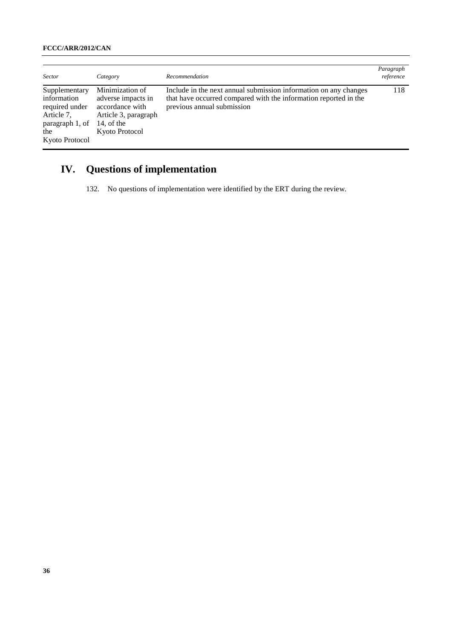| <b>Sector</b>                                                                                            | Category                                                                                                         | Recommendation                                                                                                                                                     | Paragraph<br>reference |
|----------------------------------------------------------------------------------------------------------|------------------------------------------------------------------------------------------------------------------|--------------------------------------------------------------------------------------------------------------------------------------------------------------------|------------------------|
| Supplementary<br>information<br>required under<br>Article 7,<br>paragraph 1, of<br>the<br>Kyoto Protocol | Minimization of<br>adverse impacts in<br>accordance with<br>Article 3, paragraph<br>14, of the<br>Kyoto Protocol | Include in the next annual submission information on any changes<br>that have occurred compared with the information reported in the<br>previous annual submission | 118                    |

# **IV. Questions of implementation**

132. No questions of implementation were identified by the ERT during the review.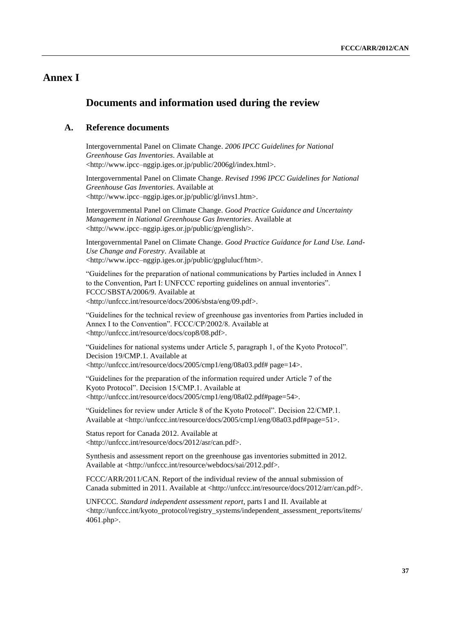## **Annex I**

## **Documents and information used during the review**

## **A. Reference documents**

Intergovernmental Panel on Climate Change. *2006 IPCC Guidelines for National Greenhouse Gas Inventories*. Available at <http://www.ipcc–nggip.iges.or.jp/public/2006gl/index.html>.

Intergovernmental Panel on Climate Change. *Revised 1996 IPCC Guidelines for National Greenhouse Gas Inventories*. Available at <http://www.ipcc–nggip.iges.or.jp/public/gl/invs1.htm>.

Intergovernmental Panel on Climate Change. *Good Practice Guidance and Uncertainty Management in National Greenhouse Gas Inventories*. Available at <http://www.ipcc–nggip.iges.or.jp/public/gp/english/>.

Intergovernmental Panel on Climate Change. *Good Practice Guidance for Land Use. Land-Use Change and Forestry*. Available at <http://www.ipcc–nggip.iges.or.jp/public/gpglulucf/htm>.

"Guidelines for the preparation of national communications by Parties included in Annex I to the Convention, Part I: UNFCCC reporting guidelines on annual inventories". FCCC/SBSTA/2006/9. Available at <http://unfccc.int/resource/docs/2006/sbsta/eng/09.pdf>.

"Guidelines for the technical review of greenhouse gas inventories from Parties included in Annex I to the Convention". FCCC/CP/2002/8. Available at <http://unfccc.int/resource/docs/cop8/08.pdf>.

"Guidelines for national systems under Article 5, paragraph 1, of the Kyoto Protocol". Decision 19/CMP.1. Available at <http://unfccc.int/resource/docs/2005/cmp1/eng/08a03.pdf# page=14>.

"Guidelines for the preparation of the information required under Article 7 of the Kyoto Protocol". Decision 15/CMP.1. Available at <http://unfccc.int/resource/docs/2005/cmp1/eng/08a02.pdf#page=54>.

"Guidelines for review under Article 8 of the Kyoto Protocol". Decision 22/CMP.1. Available at <http://unfccc.int/resource/docs/2005/cmp1/eng/08a03.pdf#page=51>.

Status report for Canada 2012. Available at <http://unfccc.int/resource/docs/2012/asr/can.pdf>.

Synthesis and assessment report on the greenhouse gas inventories submitted in 2012. Available at <http://unfccc.int/resource/webdocs/sai/2012.pdf>.

FCCC/ARR/2011/CAN. Report of the individual review of the annual submission of Canada submitted in 2011. Available at <http://unfccc.int/resource/docs/2012/arr/can.pdf>.

UNFCCC. *Standard independent assessment report*, parts I and II. Available at <http://unfccc.int/kyoto\_protocol/registry\_systems/independent\_assessment\_reports/items/ 4061.php>.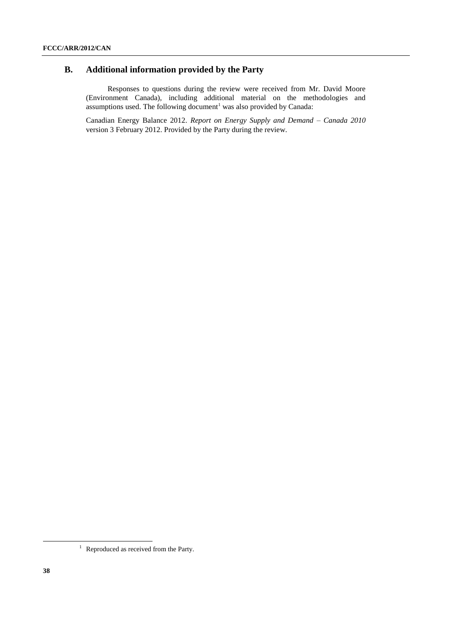## **B. Additional information provided by the Party**

Responses to questions during the review were received from Mr. David Moore (Environment Canada), including additional material on the methodologies and assumptions used. The following document<sup>1</sup> was also provided by Canada:

Canadian Energy Balance 2012. *Report on Energy Supply and Demand – Canada 2010* version 3 February 2012. Provided by the Party during the review.

-

<sup>&</sup>lt;sup>1</sup> Reproduced as received from the Party.